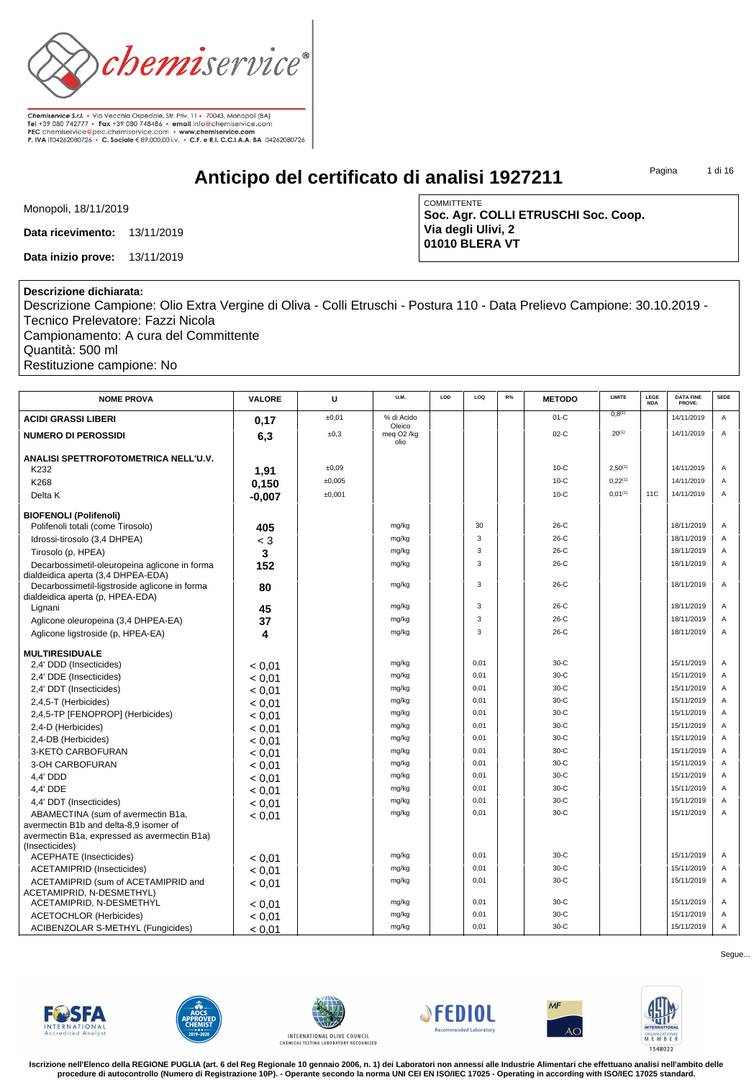

**Anticipo del certificato di analisi 1927211**

Pagina 1 di 16

Monopoli, 18/11/2019

**Data ricevimento:** 13/11/2019

**Data inizio prove:** 13/11/2019

COMMITTENTE **Soc. Agr. COLLI ETRUSCHI Soc. Coop. Via degli Ulivi, 2 01010 BLERA VT**

## **Descrizione dichiarata:**

Descrizione Campione: Olio Extra Vergine di Oliva - Colli Etruschi - Postura 110 - Data Prelievo Campione: 30.10.2019 - Tecnico Prelevatore: Fazzi Nicola

Campionamento: A cura del Committente Quantità: 500 ml Restituzione campione: No

| <b>NOME PROVA</b>                                                                   | <b>VALORE</b> | U      | U.M.                           | LOD | LOQ  | R% | <b>METODO</b> | <b>LIMITE</b>      | LEGE<br><b>NDA</b> | <b>DATA FINE</b><br>PROVE: | <b>SEDE</b> |
|-------------------------------------------------------------------------------------|---------------|--------|--------------------------------|-----|------|----|---------------|--------------------|--------------------|----------------------------|-------------|
| <b>ACIDI GRASSI LIBERI</b>                                                          | 0,17          | ±0,01  | % di Acido<br>Oleico           |     |      |    | $01-C$        | 0.8 <sup>(1)</sup> |                    | 14/11/2019                 | A           |
| <b>NUMERO DI PEROSSIDI</b>                                                          | 6,3           | ±0,3   | meg O <sub>2</sub> /kg<br>olio |     |      |    | $02-C$        | $20^{(1)}$         |                    | 14/11/2019                 | A           |
| ANALISI SPETTROFOTOMETRICA NELL'U.V.                                                |               |        |                                |     |      |    | $10-C$        | $2.50^{(1)}$       |                    | 14/11/2019                 | A           |
| K232                                                                                | 1,91          | ±0,09  |                                |     |      |    |               |                    |                    |                            |             |
| K268                                                                                | 0,150         | ±0.005 |                                |     |      |    | $10-C$        | $0,22^{(1)}$       |                    | 14/11/2019                 | A           |
| Delta K                                                                             | $-0.007$      | ±0.001 |                                |     |      |    | $10-C$        | 0.01(1)            | <b>11C</b>         | 14/11/2019                 | A           |
| <b>BIOFENOLI (Polifenoli)</b>                                                       |               |        |                                |     |      |    |               |                    |                    |                            |             |
| Polifenoli totali (come Tirosolo)                                                   | 405           |        | mg/kg                          |     | 30   |    | $26-C$        |                    |                    | 18/11/2019                 | A           |
| Idrossi-tirosolo (3,4 DHPEA)                                                        | $<$ 3         |        | mg/kg                          |     | 3    |    | $26-C$        |                    |                    | 18/11/2019                 | A           |
| Tirosolo (p. HPEA)                                                                  | 3             |        | mg/kg                          |     | 3    |    | $26-C$        |                    |                    | 18/11/2019                 | A           |
| Decarbossimetil-oleuropeina aglicone in forma<br>dialdeidica aperta (3,4 DHPEA-EDA) | 152           |        | mg/kg                          |     | 3    |    | $26-C$        |                    |                    | 18/11/2019                 | A           |
| Decarbossimetil-ligstroside aglicone in forma<br>dialdeidica aperta (p, HPEA-EDA)   | 80            |        | mg/kg                          |     | 3    |    | $26-C$        |                    |                    | 18/11/2019                 | A           |
| Lignani                                                                             | 45            |        | mg/kg                          |     | 3    |    | $26-C$        |                    |                    | 18/11/2019                 | Α           |
| Aglicone oleuropeina (3,4 DHPEA-EA)                                                 | 37            |        | mg/kg                          |     | 3    |    | $26-C$        |                    |                    | 18/11/2019                 | A           |
| Aglicone ligstroside (p, HPEA-EA)                                                   | 4             |        | mg/kg                          |     | 3    |    | $26-C$        |                    |                    | 18/11/2019                 | A           |
| <b>MULTIRESIDUALE</b>                                                               |               |        |                                |     |      |    |               |                    |                    |                            |             |
| 2,4' DDD (Insecticides)                                                             | < 0.01        |        | mg/kg                          |     | 0.01 |    | $30-C$        |                    |                    | 15/11/2019                 | A           |
| 2,4' DDE (Insecticides)                                                             | < 0.01        |        | mg/kg                          |     | 0.01 |    | $30-C$        |                    |                    | 15/11/2019                 | A           |
| 2,4' DDT (Insecticides)                                                             | < 0.01        |        | mg/kg                          |     | 0,01 |    | $30-C$        |                    |                    | 15/11/2019                 | A           |
| 2,4,5-T (Herbicides)                                                                | < 0.01        |        | mg/kg                          |     | 0,01 |    | $30-C$        |                    |                    | 15/11/2019                 | A           |
| 2,4,5-TP [FENOPROP] (Herbicides)                                                    | < 0.01        |        | mg/kg                          |     | 0.01 |    | $30-C$        |                    |                    | 15/11/2019                 | A           |
| 2,4-D (Herbicides)                                                                  | < 0.01        |        | mg/kg                          |     | 0.01 |    | $30-C$        |                    |                    | 15/11/2019                 | A           |
| 2,4-DB (Herbicides)                                                                 | < 0.01        |        | mg/kg                          |     | 0,01 |    | $30-C$        |                    |                    | 15/11/2019                 | A           |
| 3-KETO CARBOFURAN                                                                   | < 0.01        |        | mg/kg                          |     | 0,01 |    | $30-C$        |                    |                    | 15/11/2019                 | A           |
| 3-OH CARBOFURAN                                                                     | < 0.01        |        | mg/kg                          |     | 0,01 |    | $30-C$        |                    |                    | 15/11/2019                 | A           |
| 4.4' DDD                                                                            | < 0.01        |        | mg/kg                          |     | 0,01 |    | $30-C$        |                    |                    | 15/11/2019                 | A           |
| 4.4' DDE                                                                            | < 0.01        |        | mg/kg                          |     | 0,01 |    | $30-C$        |                    |                    | 15/11/2019                 | A           |
| 4,4' DDT (Insecticides)                                                             | < 0.01        |        | mg/kg                          |     | 0.01 |    | $30-C$        |                    |                    | 15/11/2019                 | A           |
| ABAMECTINA (sum of avermectin B1a,                                                  | < 0.01        |        | mg/kg                          |     | 0.01 |    | $30-C$        |                    |                    | 15/11/2019                 | A           |
| avermectin B1b and delta-8.9 isomer of                                              |               |        |                                |     |      |    |               |                    |                    |                            |             |
| avermectin B1a, expressed as avermectin B1a)                                        |               |        |                                |     |      |    |               |                    |                    |                            |             |
| (Insecticides)<br><b>ACEPHATE</b> (Insecticides)                                    | < 0.01        |        | mg/kg                          |     | 0.01 |    | $30-C$        |                    |                    | 15/11/2019                 | A           |
| <b>ACETAMIPRID (Insecticides)</b>                                                   | < 0.01        |        | mg/kg                          |     | 0.01 |    | $30-C$        |                    |                    | 15/11/2019                 | A           |
| ACETAMIPRID (sum of ACETAMIPRID and                                                 |               |        | mg/kg                          |     | 0,01 |    | $30-C$        |                    |                    | 15/11/2019                 | A           |
| ACETAMIPRID, N-DESMETHYL)<br>ACETAMIPRID, N-DESMETHYL                               | < 0.01        |        | mg/kg                          |     | 0,01 |    | $30-C$        |                    |                    | 15/11/2019                 | Α           |
| <b>ACETOCHLOR (Herbicides)</b>                                                      | < 0.01        |        | mg/kg                          |     | 0,01 |    | $30-C$        |                    |                    | 15/11/2019                 | Α           |
|                                                                                     | < 0.01        |        | mg/kg                          |     | 0,01 |    | $30-C$        |                    |                    | 15/11/2019                 | Α           |
| ACIBENZOLAR S-METHYL (Fungicides)                                                   | < 0.01        |        |                                |     |      |    |               |                    |                    |                            |             |













**Iscrizione nell'Elenco della REGIONE PUGLIA (art. 6 del Reg Regionale 10 gennaio 2006, n. 1) dei Laboratori non annessi alle Industrie Alimentari che effettuano analisi nell'ambito delle procedure di autocontrollo (Numero di Registrazione 10P). - Operante secondo la norma UNI CEI EN ISO/IEC 17025 - Operating in according with ISO/IEC 17025 standard.**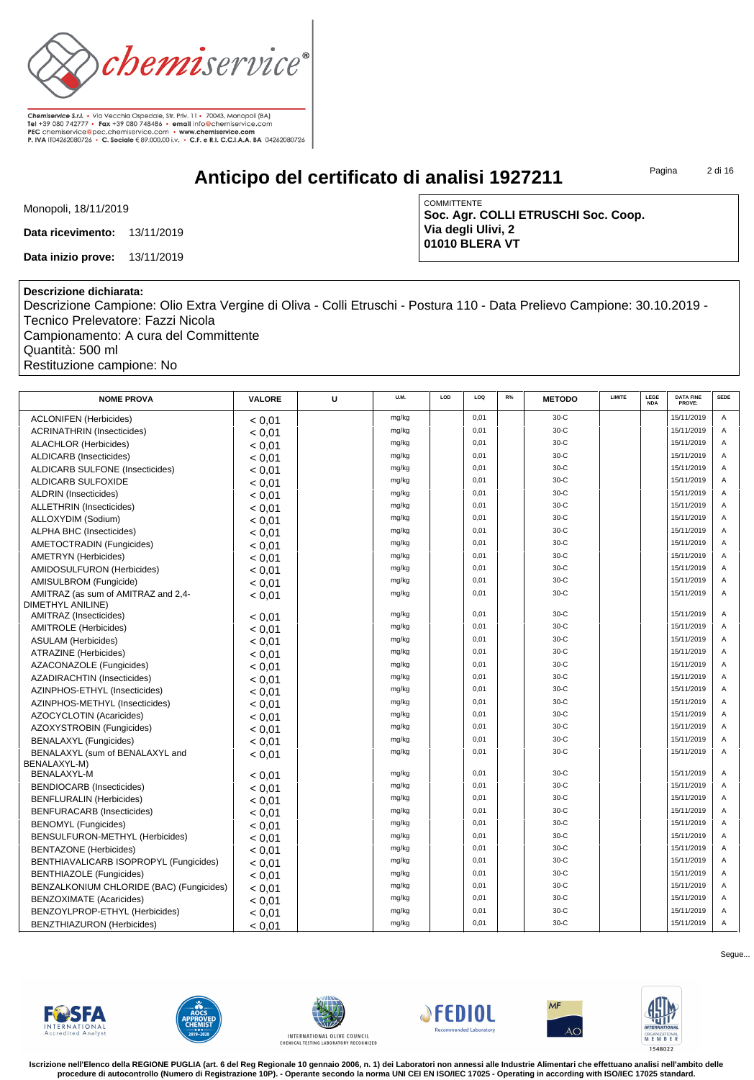

**Anticipo del certificato di analisi 1927211**

Pagina 2 di 16

Monopoli, 18/11/2019

**Data ricevimento:** 13/11/2019

**Data inizio prove:** 13/11/2019

COMMITTENTE **Soc. Agr. COLLI ETRUSCHI Soc. Coop. Via degli Ulivi, 2 01010 BLERA VT**

## **Descrizione dichiarata:**

Descrizione Campione: Olio Extra Vergine di Oliva - Colli Etruschi - Postura 110 - Data Prelievo Campione: 30.10.2019 - Tecnico Prelevatore: Fazzi Nicola Campionamento: A cura del Committente

Quantità: 500 ml

Restituzione campione: No

| <b>NOME PROVA</b>                           | VALORE           | U | U.M.  | LOD | LOQ  | R% | <b>METODO</b> | <b>LIMITE</b> | LEGE<br><b>NDA</b> | <b>DATA FINE</b><br>PROVE: | <b>SEDE</b> |
|---------------------------------------------|------------------|---|-------|-----|------|----|---------------|---------------|--------------------|----------------------------|-------------|
| <b>ACLONIFEN (Herbicides)</b>               | < 0.01           |   | mg/kg |     | 0.01 |    | $30-C$        |               |                    | 15/11/2019                 | A           |
| <b>ACRINATHRIN (Insecticides)</b>           | < 0.01           |   | mg/kg |     | 0,01 |    | $30-C$        |               |                    | 15/11/2019                 | A           |
| <b>ALACHLOR (Herbicides)</b>                | < 0.01           |   | mg/kg |     | 0,01 |    | $30-C$        |               |                    | 15/11/2019                 | A           |
| <b>ALDICARB</b> (Insecticides)              | < 0.01           |   | mg/kg |     | 0,01 |    | $30-C$        |               |                    | 15/11/2019                 | A           |
| <b>ALDICARB SULFONE (Insecticides)</b>      | < 0.01           |   | mg/kg |     | 0.01 |    | $30-C$        |               |                    | 15/11/2019                 | A           |
| ALDICARB SULFOXIDE                          | < 0.01           |   | mg/kg |     | 0.01 |    | $30-C$        |               |                    | 15/11/2019                 | A           |
| <b>ALDRIN</b> (Insecticides)                | < 0.01           |   | mg/kg |     | 0,01 |    | $30-C$        |               |                    | 15/11/2019                 | A           |
| <b>ALLETHRIN</b> (Insecticides)             | < 0.01           |   | mg/kg |     | 0,01 |    | $30-C$        |               |                    | 15/11/2019                 | A           |
| ALLOXYDIM (Sodium)                          | < 0.01           |   | mg/kg |     | 0.01 |    | $30-C$        |               |                    | 15/11/2019                 | A           |
| ALPHA BHC (Insecticides)                    | < 0.01           |   | mg/kg |     | 0.01 |    | $30-C$        |               |                    | 15/11/2019                 | A           |
| AMETOCTRADIN (Fungicides)                   | < 0.01           |   | mg/kg |     | 0,01 |    | $30-C$        |               |                    | 15/11/2019                 | A           |
| <b>AMETRYN</b> (Herbicides)                 | < 0.01           |   | mg/kg |     | 0.01 |    | $30-C$        |               |                    | 15/11/2019                 | A           |
| AMIDOSULFURON (Herbicides)                  | < 0.01           |   | mg/kg |     | 0,01 |    | $30-C$        |               |                    | 15/11/2019                 | A           |
| AMISULBROM (Fungicide)                      | < 0.01           |   | mg/kg |     | 0.01 |    | $30-C$        |               |                    | 15/11/2019                 | A           |
| AMITRAZ (as sum of AMITRAZ and 2,4-         | < 0.01           |   | mg/kg |     | 0,01 |    | $30-C$        |               |                    | 15/11/2019                 | A           |
| DIMETHYL ANILINE)<br>AMITRAZ (Insecticides) |                  |   | mg/kg |     | 0.01 |    | $30-C$        |               |                    | 15/11/2019                 | A           |
| <b>AMITROLE</b> (Herbicides)                | < 0.01           |   | mg/kg |     | 0.01 |    | $30-C$        |               |                    | 15/11/2019                 | A           |
| <b>ASULAM</b> (Herbicides)                  | < 0.01           |   | mg/kg |     | 0.01 |    | $30-C$        |               |                    | 15/11/2019                 | A           |
| ATRAZINE (Herbicides)                       | < 0.01           |   | mg/kg |     | 0,01 |    | $30-C$        |               |                    | 15/11/2019                 | A           |
| AZACONAZOLE (Fungicides)                    | < 0.01           |   | mg/kg |     | 0,01 |    | $30-C$        |               |                    | 15/11/2019                 | A           |
| AZADIRACHTIN (Insecticides)                 | < 0.01           |   | mg/kg |     | 0.01 |    | $30-C$        |               |                    | 15/11/2019                 | A           |
| AZINPHOS-ETHYL (Insecticides)               | < 0.01<br>< 0.01 |   | mg/kg |     | 0,01 |    | $30-C$        |               |                    | 15/11/2019                 | A           |
| AZINPHOS-METHYL (Insecticides)              | < 0.01           |   | mg/kg |     | 0,01 |    | $30-C$        |               |                    | 15/11/2019                 | A           |
| <b>AZOCYCLOTIN (Acaricides)</b>             |                  |   | mg/kg |     | 0,01 |    | $30-C$        |               |                    | 15/11/2019                 | A           |
| AZOXYSTROBIN (Fungicides)                   | < 0.01<br>< 0.01 |   | mg/kg |     | 0,01 |    | $30-C$        |               |                    | 15/11/2019                 | A           |
| <b>BENALAXYL (Fungicides)</b>               |                  |   | mg/kg |     | 0.01 |    | $30-C$        |               |                    | 15/11/2019                 |             |
| BENALAXYL (sum of BENALAXYL and             | < 0.01           |   | mg/kg |     | 0,01 |    | $30-C$        |               |                    | 15/11/2019                 | A           |
| BENALAXYL-M)                                | < 0.01           |   |       |     |      |    |               |               |                    |                            |             |
| <b>BENALAXYL-M</b>                          | < 0.01           |   | mg/kg |     | 0,01 |    | $30-C$        |               |                    | 15/11/2019                 | A           |
| <b>BENDIOCARB</b> (Insecticides)            | < 0.01           |   | mg/kg |     | 0,01 |    | $30-C$        |               |                    | 15/11/2019                 | A           |
| <b>BENFLURALIN (Herbicides)</b>             | < 0.01           |   | mg/kg |     | 0.01 |    | $30-C$        |               |                    | 15/11/2019                 | $\Delta$    |
| <b>BENFURACARB</b> (Insecticides)           | < 0.01           |   | mg/kg |     | 0,01 |    | $30-C$        |               |                    | 15/11/2019                 | A           |
| <b>BENOMYL</b> (Fungicides)                 | < 0.01           |   | mg/kg |     | 0.01 |    | $30-C$        |               |                    | 15/11/2019                 | A           |
| BENSULFURON-METHYL (Herbicides)             | < 0.01           |   | mg/kg |     | 0,01 |    | $30-C$        |               |                    | 15/11/2019                 | A           |
| <b>BENTAZONE</b> (Herbicides)               | < 0.01           |   | mg/kg |     | 0,01 |    | $30-C$        |               |                    | 15/11/2019                 | A           |
| BENTHIAVALICARB ISOPROPYL (Fungicides)      | < 0.01           |   | mg/kg |     | 0,01 |    | $30-C$        |               |                    | 15/11/2019                 | A           |
| <b>BENTHIAZOLE (Fungicides)</b>             | < 0.01           |   | mg/kg |     | 0,01 |    | $30-C$        |               |                    | 15/11/2019                 | A           |
| BENZALKONIUM CHLORIDE (BAC) (Fungicides)    | < 0.01           |   | mg/kg |     | 0.01 |    | $30-C$        |               |                    | 15/11/2019                 | A           |
| <b>BENZOXIMATE</b> (Acaricides)             | < 0.01           |   | mg/kg |     | 0.01 |    | $30-C$        |               |                    | 15/11/2019                 | A           |
| BENZOYLPROP-ETHYL (Herbicides)              | < 0.01           |   | mg/kg |     | 0,01 |    | $30-C$        |               |                    | 15/11/2019                 | A           |
| BENZTHIAZURON (Herbicides)                  | < 0.01           |   | mg/kg |     | 0,01 |    | $30-C$        |               |                    | 15/11/2019                 | Α           |













**Iscrizione nell'Elenco della REGIONE PUGLIA (art. 6 del Reg Regionale 10 gennaio 2006, n. 1) dei Laboratori non annessi alle Industrie Alimentari che effettuano analisi nell'ambito delle procedure di autocontrollo (Numero di Registrazione 10P). - Operante secondo la norma UNI CEI EN ISO/IEC 17025 - Operating in according with ISO/IEC 17025 standard.**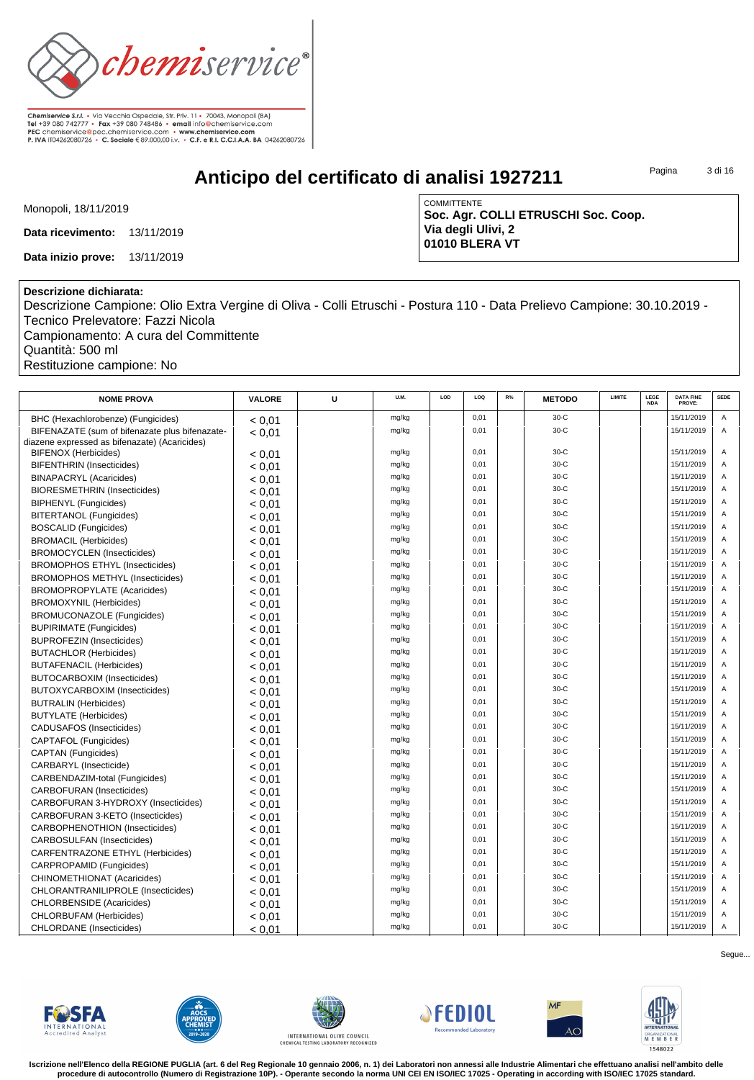

**Anticipo del certificato di analisi 1927211**

Pagina 3 di 16

Monopoli, 18/11/2019

**Data ricevimento:** 13/11/2019

**Data inizio prove:** 13/11/2019

COMMITTENTE **Soc. Agr. COLLI ETRUSCHI Soc. Coop. Via degli Ulivi, 2 01010 BLERA VT**

## **Descrizione dichiarata:**

Descrizione Campione: Olio Extra Vergine di Oliva - Colli Etruschi - Postura 110 - Data Prelievo Campione: 30.10.2019 - Tecnico Prelevatore: Fazzi Nicola Campionamento: A cura del Committente

Quantità: 500 ml Restituzione campione: No

| <b>NOME PROVA</b>                              | <b>VALORE</b> | U | U.M.  | LOD | LOQ  | R% | <b>METODO</b> | <b>LIMITE</b> | LEGE<br><b>NDA</b> | <b>DATA FINE</b><br>PROVE: | <b>SEDE</b> |
|------------------------------------------------|---------------|---|-------|-----|------|----|---------------|---------------|--------------------|----------------------------|-------------|
| BHC (Hexachlorobenze) (Fungicides)             | < 0.01        |   | mg/kg |     | 0,01 |    | $30-C$        |               |                    | 15/11/2019                 | A           |
| BIFENAZATE (sum of bifenazate plus bifenazate- | < 0.01        |   | mg/kg |     | 0.01 |    | $30-C$        |               |                    | 15/11/2019                 | A           |
| diazene expressed as bifenazate) (Acaricides)  |               |   |       |     |      |    |               |               |                    |                            |             |
| <b>BIFENOX (Herbicides)</b>                    | < 0.01        |   | mg/kg |     | 0,01 |    | $30-C$        |               |                    | 15/11/2019                 | Α           |
| <b>BIFENTHRIN</b> (Insecticides)               | < 0.01        |   | mg/kg |     | 0,01 |    | $30-C$        |               |                    | 15/11/2019                 | A           |
| <b>BINAPACRYL (Acaricides)</b>                 | < 0.01        |   | mg/kg |     | 0,01 |    | $30-C$        |               |                    | 15/11/2019                 | A           |
| <b>BIORESMETHRIN (Insecticides)</b>            | < 0.01        |   | mg/kg |     | 0.01 |    | $30-C$        |               |                    | 15/11/2019                 | A           |
| <b>BIPHENYL</b> (Fungicides)                   | < 0.01        |   | mg/kg |     | 0,01 |    | $30-C$        |               |                    | 15/11/2019                 | A           |
| BITERTANOL (Fungicides)                        | < 0.01        |   | mg/kg |     | 0,01 |    | $30-C$        |               |                    | 15/11/2019                 | A           |
| <b>BOSCALID (Fungicides)</b>                   | < 0.01        |   | mg/kg |     | 0.01 |    | $30-C$        |               |                    | 15/11/2019                 | A           |
| <b>BROMACIL (Herbicides)</b>                   | < 0.01        |   | mg/kg |     | 0.01 |    | $30-C$        |               |                    | 15/11/2019                 | A           |
| <b>BROMOCYCLEN</b> (Insecticides)              | < 0.01        |   | mg/kg |     | 0.01 |    | $30-C$        |               |                    | 15/11/2019                 | A           |
| <b>BROMOPHOS ETHYL (Insecticides)</b>          | < 0.01        |   | mg/kg |     | 0.01 |    | $30-C$        |               |                    | 15/11/2019                 | A           |
| <b>BROMOPHOS METHYL (Insecticides)</b>         | < 0.01        |   | mg/kg |     | 0.01 |    | $30-C$        |               |                    | 15/11/2019                 | A           |
| <b>BROMOPROPYLATE (Acaricides)</b>             | < 0.01        |   | mg/kg |     | 0,01 |    | $30-C$        |               |                    | 15/11/2019                 | A           |
| <b>BROMOXYNIL (Herbicides)</b>                 | < 0.01        |   | mg/kg |     | 0,01 |    | $30-C$        |               |                    | 15/11/2019                 | A           |
| <b>BROMUCONAZOLE</b> (Fungicides)              | < 0.01        |   | mg/kg |     | 0,01 |    | $30-C$        |               |                    | 15/11/2019                 | A           |
| <b>BUPIRIMATE (Fungicides)</b>                 | < 0.01        |   | mg/kg |     | 0,01 |    | $30-C$        |               |                    | 15/11/2019                 | A           |
| <b>BUPROFEZIN (Insecticides)</b>               | < 0.01        |   | mg/kg |     | 0,01 |    | $30-C$        |               |                    | 15/11/2019                 | A           |
| <b>BUTACHLOR (Herbicides)</b>                  | < 0.01        |   | mg/kg |     | 0.01 |    | $30-C$        |               |                    | 15/11/2019                 | A           |
| <b>BUTAFENACIL (Herbicides)</b>                | < 0.01        |   | mg/kg |     | 0,01 |    | $30-C$        |               |                    | 15/11/2019                 | A           |
| <b>BUTOCARBOXIM (Insecticides)</b>             | < 0.01        |   | mg/kg |     | 0,01 |    | $30-C$        |               |                    | 15/11/2019                 | A           |
| BUTOXYCARBOXIM (Insecticides)                  | < 0.01        |   | mg/kg |     | 0.01 |    | $30-C$        |               |                    | 15/11/2019                 | A           |
| <b>BUTRALIN (Herbicides)</b>                   | < 0.01        |   | mg/kg |     | 0.01 |    | $30-C$        |               |                    | 15/11/2019                 | A           |
| <b>BUTYLATE</b> (Herbicides)                   | < 0.01        |   | mg/kg |     | 0.01 |    | $30-C$        |               |                    | 15/11/2019                 | A           |
| <b>CADUSAFOS (Insecticides)</b>                | < 0.01        |   | mg/kg |     | 0.01 |    | $30-C$        |               |                    | 15/11/2019                 | A           |
| <b>CAPTAFOL (Fungicides)</b>                   | < 0.01        |   | mg/kg |     | 0.01 |    | $30-C$        |               |                    | 15/11/2019                 | A           |
| <b>CAPTAN (Fungicides)</b>                     | < 0.01        |   | mg/kg |     | 0,01 |    | $30-C$        |               |                    | 15/11/2019                 | A           |
| CARBARYL (Insecticide)                         | < 0.01        |   | mg/kg |     | 0,01 |    | $30-C$        |               |                    | 15/11/2019                 | A           |
| CARBENDAZIM-total (Fungicides)                 | < 0.01        |   | mg/kg |     | 0,01 |    | $30-C$        |               |                    | 15/11/2019                 | A           |
| <b>CARBOFURAN</b> (Insecticides)               | < 0.01        |   | mg/kg |     | 0,01 |    | $30-C$        |               |                    | 15/11/2019                 | A           |
| CARBOFURAN 3-HYDROXY (Insecticides)            | < 0.01        |   | mg/kg |     | 0,01 |    | $30-C$        |               |                    | 15/11/2019                 | A           |
| CARBOFURAN 3-KETO (Insecticides)               | < 0.01        |   | mg/kg |     | 0,01 |    | $30-C$        |               |                    | 15/11/2019                 | A           |
| CARBOPHENOTHION (Insecticides)                 | < 0.01        |   | mg/kg |     | 0.01 |    | $30-C$        |               |                    | 15/11/2019                 | A           |
| <b>CARBOSULFAN (Insecticides)</b>              | < 0.01        |   | mg/kg |     | 0,01 |    | $30-C$        |               |                    | 15/11/2019                 | A           |
| CARFENTRAZONE ETHYL (Herbicides)               | < 0.01        |   | mg/kg |     | 0,01 |    | $30-C$        |               |                    | 15/11/2019                 | A           |
| CARPROPAMID (Fungicides)                       | < 0.01        |   | mg/kg |     | 0,01 |    | $30-C$        |               |                    | 15/11/2019                 | A           |
| CHINOMETHIONAT (Acaricides)                    | < 0.01        |   | mg/kg |     | 0.01 |    | $30-C$        |               |                    | 15/11/2019                 | A           |
| CHLORANTRANILIPROLE (Insecticides)             | < 0.01        |   | mg/kg |     | 0.01 |    | $30-C$        |               |                    | 15/11/2019                 | A           |
| <b>CHLORBENSIDE</b> (Acaricides)               | < 0.01        |   | mg/kg |     | 0,01 |    | $30-C$        |               |                    | 15/11/2019                 | Α           |
| CHLORBUFAM (Herbicides)                        | < 0.01        |   | mg/kg |     | 0,01 |    | $30-C$        |               |                    | 15/11/2019                 | A           |
| <b>CHLORDANE</b> (Insecticides)                | < 0.01        |   | mg/kg |     | 0,01 |    | $30-C$        |               |                    | 15/11/2019                 | Α           |













**Iscrizione nell'Elenco della REGIONE PUGLIA (art. 6 del Reg Regionale 10 gennaio 2006, n. 1) dei Laboratori non annessi alle Industrie Alimentari che effettuano analisi nell'ambito delle procedure di autocontrollo (Numero di Registrazione 10P). - Operante secondo la norma UNI CEI EN ISO/IEC 17025 - Operating in according with ISO/IEC 17025 standard.**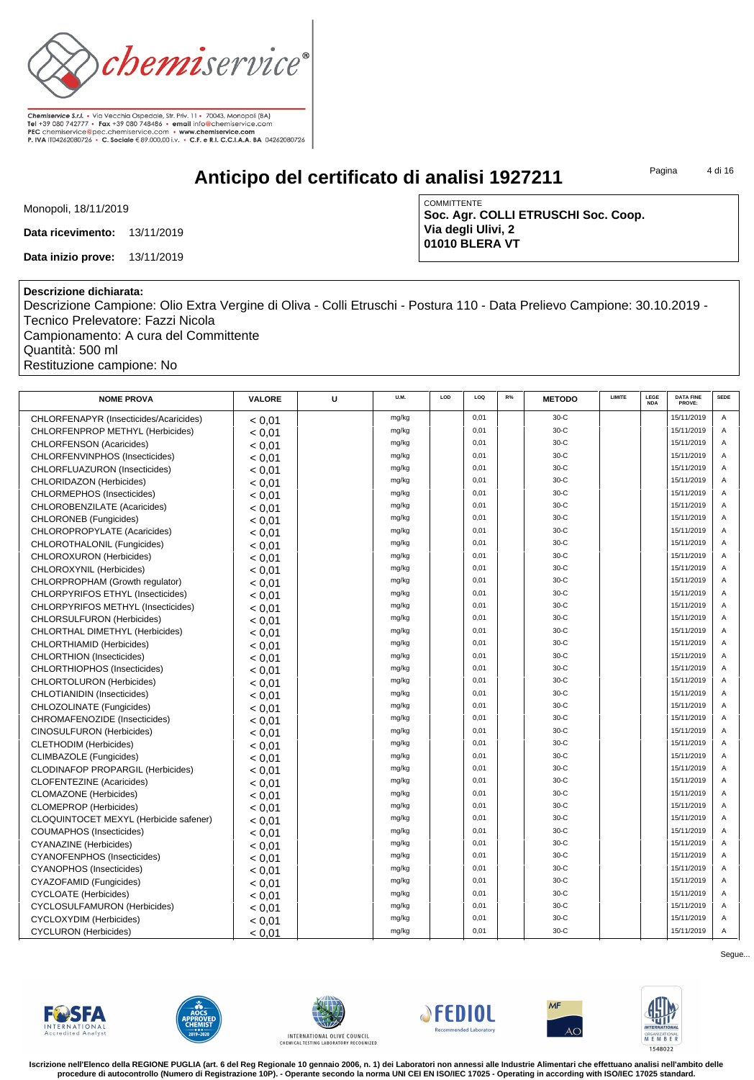

**Anticipo del certificato di analisi 1927211**

Pagina 4 di 16

Monopoli, 18/11/2019

**Data ricevimento:** 13/11/2019

**Data inizio prove:** 13/11/2019

COMMITTENTE **Soc. Agr. COLLI ETRUSCHI Soc. Coop. Via degli Ulivi, 2 01010 BLERA VT**

## **Descrizione dichiarata:**

Descrizione Campione: Olio Extra Vergine di Oliva - Colli Etruschi - Postura 110 - Data Prelievo Campione: 30.10.2019 - Tecnico Prelevatore: Fazzi Nicola Campionamento: A cura del Committente

Quantità: 500 ml Restituzione campione: No

| <b>NOME PROVA</b>                        | VALORE | U | U.M.  | LOD | LOO  | R% | <b>METODO</b> | LIMITE | LEGE<br><b>NDA</b> | <b>DATA FINE</b><br>PROVE: | <b>SEDE</b> |
|------------------------------------------|--------|---|-------|-----|------|----|---------------|--------|--------------------|----------------------------|-------------|
| CHLORFENAPYR (Insecticides/Acaricides)   | < 0.01 |   | mg/kg |     | 0,01 |    | $30-C$        |        |                    | 15/11/2019                 | A           |
| CHLORFENPROP METHYL (Herbicides)         | < 0.01 |   | mg/kg |     | 0,01 |    | $30-C$        |        |                    | 15/11/2019                 | Α           |
| <b>CHLORFENSON (Acaricides)</b>          | < 0.01 |   | mg/kg |     | 0,01 |    | $30-C$        |        |                    | 15/11/2019                 | Α           |
| CHLORFENVINPHOS (Insecticides)           | < 0.01 |   | mg/kg |     | 0,01 |    | $30-C$        |        |                    | 15/11/2019                 | A           |
| CHLORFLUAZURON (Insecticides)            | < 0.01 |   | mg/kg |     | 0,01 |    | $30-C$        |        |                    | 15/11/2019                 | A           |
| CHLORIDAZON (Herbicides)                 | < 0.01 |   | mg/kg |     | 0,01 |    | $30-C$        |        |                    | 15/11/2019                 | A           |
| CHLORMEPHOS (Insecticides)               | < 0.01 |   | mg/kg |     | 0,01 |    | $30-C$        |        |                    | 15/11/2019                 | A           |
| CHLOROBENZILATE (Acaricides)             | < 0.01 |   | mg/kg |     | 0,01 |    | $30-C$        |        |                    | 15/11/2019                 | A           |
| CHLORONEB (Fungicides)                   | < 0.01 |   | mg/kg |     | 0,01 |    | $30-C$        |        |                    | 15/11/2019                 | A           |
| CHLOROPROPYLATE (Acaricides)             | < 0.01 |   | mg/kg |     | 0,01 |    | $30-C$        |        |                    | 15/11/2019                 | A           |
| CHLOROTHALONIL (Fungicides)              | < 0.01 |   | mg/kg |     | 0.01 |    | $30-C$        |        |                    | 15/11/2019                 | A           |
| CHLOROXURON (Herbicides)                 | < 0.01 |   | mg/kg |     | 0,01 |    | $30-C$        |        |                    | 15/11/2019                 | A           |
| CHLOROXYNIL (Herbicides)                 | < 0.01 |   | mg/kg |     | 0,01 |    | $30-C$        |        |                    | 15/11/2019                 | A           |
| CHLORPROPHAM (Growth regulator)          | < 0.01 |   | mg/kg |     | 0,01 |    | $30-C$        |        |                    | 15/11/2019                 | A           |
| CHLORPYRIFOS ETHYL (Insecticides)        | < 0.01 |   | mg/kg |     | 0.01 |    | $30-C$        |        |                    | 15/11/2019                 | A           |
| CHLORPYRIFOS METHYL (Insecticides)       | < 0.01 |   | mg/kg |     | 0.01 |    | $30-C$        |        |                    | 15/11/2019                 | A           |
| <b>CHLORSULFURON (Herbicides)</b>        | < 0.01 |   | mg/kg |     | 0,01 |    | $30-C$        |        |                    | 15/11/2019                 | A           |
| CHLORTHAL DIMETHYL (Herbicides)          | < 0.01 |   | mg/kg |     | 0,01 |    | $30-C$        |        |                    | 15/11/2019                 | Α           |
| CHLORTHIAMID (Herbicides)                | < 0.01 |   | mg/kg |     | 0,01 |    | $30-C$        |        |                    | 15/11/2019                 | A           |
| <b>CHLORTHION</b> (Insecticides)         | < 0.01 |   | mg/kg |     | 0,01 |    | $30-C$        |        |                    | 15/11/2019                 | A           |
| <b>CHLORTHIOPHOS (Insecticides)</b>      | < 0.01 |   | mg/kg |     | 0.01 |    | $30-C$        |        |                    | 15/11/2019                 | A           |
| CHLORTOLURON (Herbicides)                | < 0.01 |   | mg/kg |     | 0,01 |    | $30-C$        |        |                    | 15/11/2019                 | Α           |
| <b>CHLOTIANIDIN (Insecticides)</b>       | < 0.01 |   | mg/kg |     | 0,01 |    | $30-C$        |        |                    | 15/11/2019                 | A           |
| CHLOZOLINATE (Fungicides)                | < 0.01 |   | mg/kg |     | 0.01 |    | $30-C$        |        |                    | 15/11/2019                 | A           |
| CHROMAFENOZIDE (Insecticides)            | < 0.01 |   | mg/kg |     | 0,01 |    | $30-C$        |        |                    | 15/11/2019                 | A           |
| CINOSULFURON (Herbicides)                | < 0.01 |   | mg/kg |     | 0,01 |    | $30-C$        |        |                    | 15/11/2019                 | A           |
| <b>CLETHODIM</b> (Herbicides)            | < 0.01 |   | mg/kg |     | 0,01 |    | $30-C$        |        |                    | 15/11/2019                 | A           |
| CLIMBAZOLE (Fungicides)                  | < 0.01 |   | mg/kg |     | 0,01 |    | $30-C$        |        |                    | 15/11/2019                 | A           |
| <b>CLODINAFOP PROPARGIL (Herbicides)</b> | < 0.01 |   | mg/kg |     | 0,01 |    | $30-C$        |        |                    | 15/11/2019                 | A           |
| <b>CLOFENTEZINE</b> (Acaricides)         | < 0.01 |   | mg/kg |     | 0,01 |    | $30-C$        |        |                    | 15/11/2019                 | A           |
| <b>CLOMAZONE</b> (Herbicides)            | < 0.01 |   | mg/kg |     | 0.01 |    | $30-C$        |        |                    | 15/11/2019                 | A           |
| <b>CLOMEPROP</b> (Herbicides)            | < 0.01 |   | mg/kg |     | 0,01 |    | $30-C$        |        |                    | 15/11/2019                 | Α           |
| CLOQUINTOCET MEXYL (Herbicide safener)   | < 0.01 |   | mg/kg |     | 0,01 |    | $30-C$        |        |                    | 15/11/2019                 | A           |
| COUMAPHOS (Insecticides)                 | < 0.01 |   | mg/kg |     | 0,01 |    | $30-C$        |        |                    | 15/11/2019                 | A           |
| <b>CYANAZINE</b> (Herbicides)            | < 0.01 |   | mg/kg |     | 0.01 |    | $30-C$        |        |                    | 15/11/2019                 | A           |
| <b>CYANOFENPHOS (Insecticides)</b>       | < 0.01 |   | mg/kg |     | 0.01 |    | $30-C$        |        |                    | 15/11/2019                 | A           |
| <b>CYANOPHOS</b> (Insecticides)          | < 0.01 |   | mg/kg |     | 0,01 |    | $30-C$        |        |                    | 15/11/2019                 | Α           |
| CYAZOFAMID (Fungicides)                  | < 0.01 |   | mg/kg |     | 0,01 |    | $30-C$        |        |                    | 15/11/2019                 | Α           |
| <b>CYCLOATE</b> (Herbicides)             | < 0.01 |   | mg/kg |     | 0,01 |    | $30-C$        |        |                    | 15/11/2019                 | A           |
| CYCLOSULFAMURON (Herbicides)             | < 0.01 |   | mg/kg |     | 0.01 |    | $30-C$        |        |                    | 15/11/2019                 | A           |
| <b>CYCLOXYDIM</b> (Herbicides)           | < 0.01 |   | mg/kg |     | 0,01 |    | $30-C$        |        |                    | 15/11/2019                 | A           |
| <b>CYCLURON</b> (Herbicides)             | < 0.01 |   | mg/kg |     | 0,01 |    | $30-C$        |        |                    | 15/11/2019                 | Α           |













**Iscrizione nell'Elenco della REGIONE PUGLIA (art. 6 del Reg Regionale 10 gennaio 2006, n. 1) dei Laboratori non annessi alle Industrie Alimentari che effettuano analisi nell'ambito delle procedure di autocontrollo (Numero di Registrazione 10P). - Operante secondo la norma UNI CEI EN ISO/IEC 17025 - Operating in according with ISO/IEC 17025 standard.**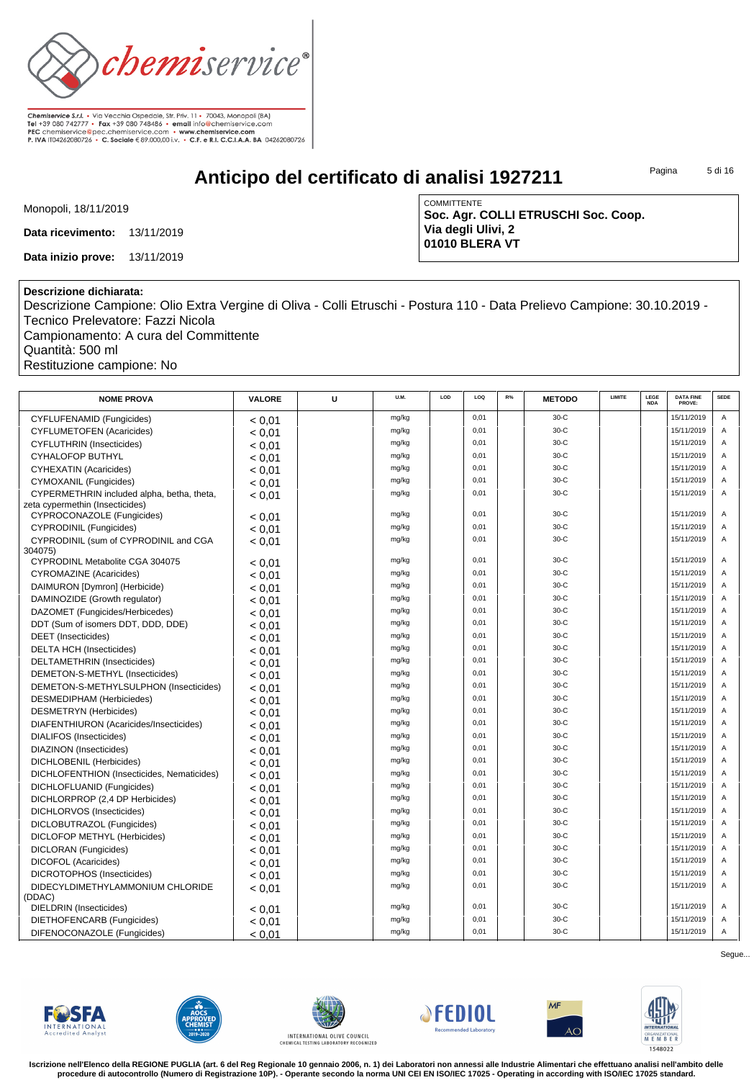

**Anticipo del certificato di analisi 1927211**

Pagina 5 di 16

Monopoli, 18/11/2019

**Data ricevimento:** 13/11/2019

**Data inizio prove:** 13/11/2019

COMMITTENTE **Soc. Agr. COLLI ETRUSCHI Soc. Coop. Via degli Ulivi, 2 01010 BLERA VT**

## **Descrizione dichiarata:**

Descrizione Campione: Olio Extra Vergine di Oliva - Colli Etruschi - Postura 110 - Data Prelievo Campione: 30.10.2019 - Tecnico Prelevatore: Fazzi Nicola Campionamento: A cura del Committente

Quantità: 500 ml Restituzione campione: No

| <b>NOME PROVA</b>                          | <b>VALORE</b> | U | U.M.  | LOD | LOQ  | R% | <b>METODO</b> | LIMITE | LEGE<br><b>NDA</b> | <b>DATA FINE</b><br>PROVE: | <b>SEDE</b> |
|--------------------------------------------|---------------|---|-------|-----|------|----|---------------|--------|--------------------|----------------------------|-------------|
| <b>CYFLUFENAMID (Fungicides)</b>           | < 0.01        |   | mg/kg |     | 0,01 |    | $30-C$        |        |                    | 15/11/2019                 | Α           |
| <b>CYFLUMETOFEN (Acaricides)</b>           | < 0.01        |   | mg/kg |     | 0.01 |    | $30-C$        |        |                    | 15/11/2019                 | A           |
| <b>CYFLUTHRIN</b> (Insecticides)           | < 0.01        |   | mg/kg |     | 0.01 |    | $30-C$        |        |                    | 15/11/2019                 | A           |
| <b>CYHALOFOP BUTHYL</b>                    | < 0.01        |   | mg/kg |     | 0,01 |    | $30-C$        |        |                    | 15/11/2019                 | A           |
| <b>CYHEXATIN (Acaricides)</b>              | < 0.01        |   | mg/kg |     | 0.01 |    | $30-C$        |        |                    | 15/11/2019                 | A           |
| CYMOXANIL (Fungicides)                     | < 0.01        |   | mg/kg |     | 0.01 |    | $30-C$        |        |                    | 15/11/2019                 | A           |
| CYPERMETHRIN included alpha, betha, theta, | < 0.01        |   | mg/kg |     | 0.01 |    | $30-C$        |        |                    | 15/11/2019                 | A           |
| zeta cypermethin (Insecticides)            |               |   |       |     |      |    |               |        |                    |                            |             |
| CYPROCONAZOLE (Fungicides)                 | < 0.01        |   | mg/kg |     | 0,01 |    | $30-C$        |        |                    | 15/11/2019                 | Α           |
| <b>CYPRODINIL (Fungicides)</b>             | < 0.01        |   | mg/kg |     | 0,01 |    | $30-C$        |        |                    | 15/11/2019                 | A           |
| CYPRODINIL (sum of CYPRODINIL and CGA      | < 0,01        |   | mg/kg |     | 0,01 |    | $30-C$        |        |                    | 15/11/2019                 | A           |
| 304075)<br>CYPRODINL Metabolite CGA 304075 |               |   | mg/kg |     | 0.01 |    | $30-C$        |        |                    | 15/11/2019                 | A           |
| <b>CYROMAZINE</b> (Acaricides)             | < 0.01        |   | mg/kg |     | 0,01 |    | $30-C$        |        |                    | 15/11/2019                 | Α           |
|                                            | < 0.01        |   | mg/kg |     | 0,01 |    | $30-C$        |        |                    | 15/11/2019                 | Α           |
| DAIMURON [Dymron] (Herbicide)              | < 0.01        |   | mg/kg |     | 0.01 |    | $30-C$        |        |                    | 15/11/2019                 | A           |
| DAMINOZIDE (Growth regulator)              | < 0.01        |   | mg/kg |     | 0.01 |    | $30-C$        |        |                    | 15/11/2019                 | A           |
| DAZOMET (Fungicides/Herbicedes)            | < 0.01        |   |       |     | 0,01 |    | $30-C$        |        |                    | 15/11/2019                 | Α           |
| DDT (Sum of isomers DDT, DDD, DDE)         | < 0.01        |   | mg/kg |     | 0.01 |    | $30-C$        |        |                    | 15/11/2019                 | A           |
| <b>DEET</b> (Insecticides)                 | < 0.01        |   | mg/kg |     |      |    | $30-C$        |        |                    |                            |             |
| <b>DELTA HCH (Insecticides)</b>            | < 0.01        |   | mg/kg |     | 0.01 |    |               |        |                    | 15/11/2019                 | A           |
| DELTAMETHRIN (Insecticides)                | < 0.01        |   | mg/kg |     | 0,01 |    | $30-C$        |        |                    | 15/11/2019                 | Α           |
| DEMETON-S-METHYL (Insecticides)            | < 0.01        |   | mg/kg |     | 0,01 |    | $30-C$        |        |                    | 15/11/2019                 | A           |
| DEMETON-S-METHYLSULPHON (Insecticides)     | < 0.01        |   | mg/kg |     | 0.01 |    | $30-C$        |        |                    | 15/11/2019                 | A           |
| DESMEDIPHAM (Herbiciedes)                  | < 0.01        |   | mg/kg |     | 0.01 |    | $30-C$        |        |                    | 15/11/2019                 | A           |
| DESMETRYN (Herbicides)                     | < 0.01        |   | mg/kg |     | 0,01 |    | $30-C$        |        |                    | 15/11/2019                 | A           |
| DIAFENTHIURON (Acaricides/Insecticides)    | < 0.01        |   | mg/kg |     | 0.01 |    | $30-C$        |        |                    | 15/11/2019                 | A           |
| <b>DIALIFOS (Insecticides)</b>             | < 0.01        |   | mg/kg |     | 0.01 |    | $30-C$        |        |                    | 15/11/2019                 | A           |
| DIAZINON (Insecticides)                    | < 0.01        |   | mg/kg |     | 0,01 |    | $30-C$        |        |                    | 15/11/2019                 | A           |
| DICHLOBENIL (Herbicides)                   | < 0.01        |   | mg/kg |     | 0.01 |    | $30-C$        |        |                    | 15/11/2019                 | A           |
| DICHLOFENTHION (Insecticides, Nematicides) | < 0.01        |   | mg/kg |     | 0.01 |    | $30-C$        |        |                    | 15/11/2019                 | A           |
| DICHLOFLUANID (Fungicides)                 | < 0.01        |   | mg/kg |     | 0.01 |    | $30-C$        |        |                    | 15/11/2019                 | A           |
| DICHLORPROP (2,4 DP Herbicides)            | < 0.01        |   | mg/kg |     | 0,01 |    | $30-C$        |        |                    | 15/11/2019                 | A           |
| DICHLORVOS (Insecticides)                  | < 0.01        |   | mg/kg |     | 0.01 |    | $30-C$        |        |                    | 15/11/2019                 | A           |
| DICLOBUTRAZOL (Fungicides)                 | < 0.01        |   | mg/kg |     | 0,01 |    | $30-C$        |        |                    | 15/11/2019                 | A           |
| DICLOFOP METHYL (Herbicides)               | < 0.01        |   | mg/kg |     | 0,01 |    | $30-C$        |        |                    | 15/11/2019                 | A           |
| DICLORAN (Fungicides)                      | < 0.01        |   | mg/kg |     | 0.01 |    | $30-C$        |        |                    | 15/11/2019                 | A           |
| <b>DICOFOL (Acaricides)</b>                | < 0.01        |   | mg/kg |     | 0.01 |    | $30-C$        |        |                    | 15/11/2019                 | A           |
| DICROTOPHOS (Insecticides)                 | < 0.01        |   | mg/kg |     | 0.01 |    | $30-C$        |        |                    | 15/11/2019                 | A           |
| DIDECYLDIMETHYLAMMONIUM CHLORIDE           | < 0.01        |   | mg/kg |     | 0,01 |    | $30-C$        |        |                    | 15/11/2019                 | A           |
| (DDAC)                                     |               |   |       |     |      |    |               |        |                    |                            |             |
| <b>DIELDRIN</b> (Insecticides)             | < 0.01        |   | mg/kg |     | 0.01 |    | $30-C$        |        |                    | 15/11/2019                 | A           |
| DIETHOFENCARB (Fungicides)                 | < 0.01        |   | mg/kg |     | 0.01 |    | $30-C$        |        |                    | 15/11/2019                 | A           |
| DIFENOCONAZOLE (Fungicides)                | < 0.01        |   | mg/kg |     | 0,01 |    | $30-C$        |        |                    | 15/11/2019                 | Α           |













**Iscrizione nell'Elenco della REGIONE PUGLIA (art. 6 del Reg Regionale 10 gennaio 2006, n. 1) dei Laboratori non annessi alle Industrie Alimentari che effettuano analisi nell'ambito delle procedure di autocontrollo (Numero di Registrazione 10P). - Operante secondo la norma UNI CEI EN ISO/IEC 17025 - Operating in according with ISO/IEC 17025 standard.**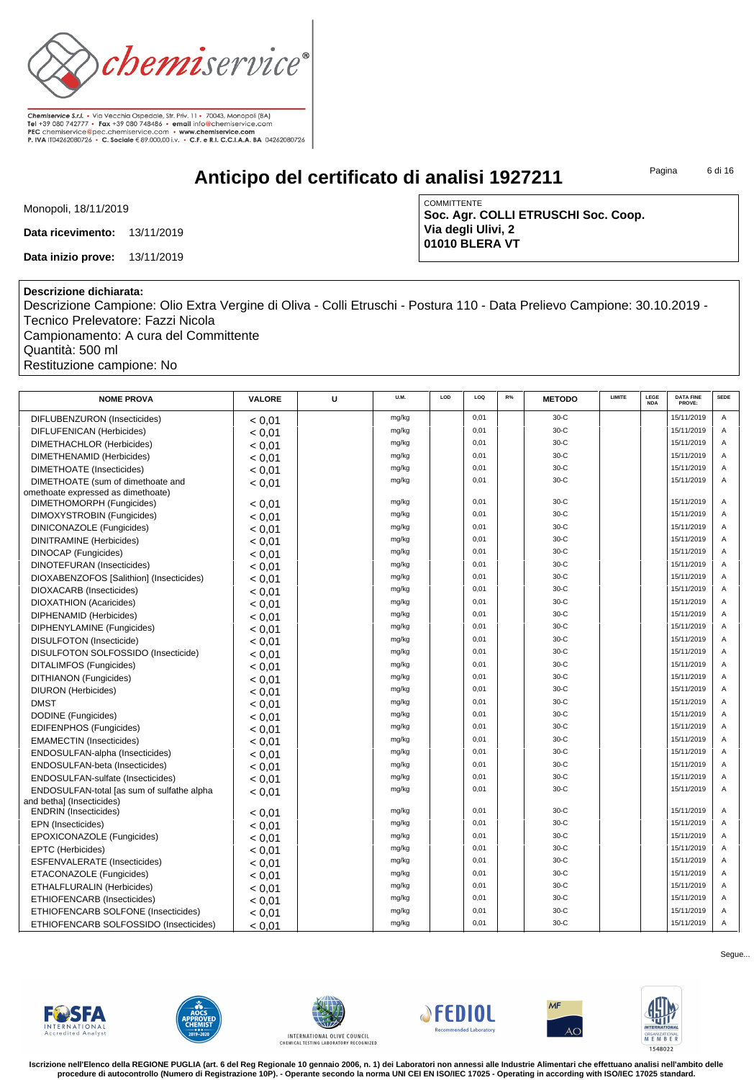

**Anticipo del certificato di analisi 1927211**

Pagina 6 di 16

Monopoli, 18/11/2019

**Data ricevimento:** 13/11/2019

**Data inizio prove:** 13/11/2019

COMMITTENTE **Soc. Agr. COLLI ETRUSCHI Soc. Coop. Via degli Ulivi, 2 01010 BLERA VT**

## **Descrizione dichiarata:**

Descrizione Campione: Olio Extra Vergine di Oliva - Colli Etruschi - Postura 110 - Data Prelievo Campione: 30.10.2019 - Tecnico Prelevatore: Fazzi Nicola

Campionamento: A cura del Committente Quantità: 500 ml Restituzione campione: No

| <b>NOME PROVA</b>                          | <b>VALORE</b> | U | U.M.  | LOD | LOQ  | R% | <b>METODO</b> | LIMITE | LEGE<br><b>NDA</b> | <b>DATA FINE</b><br>PROVE: | <b>SEDE</b>    |
|--------------------------------------------|---------------|---|-------|-----|------|----|---------------|--------|--------------------|----------------------------|----------------|
| DIFLUBENZURON (Insecticides)               | < 0.01        |   | mg/kg |     | 0.01 |    | $30-C$        |        |                    | 15/11/2019                 | $\overline{A}$ |
| DIFLUFENICAN (Herbicides)                  | < 0.01        |   | mg/kg |     | 0,01 |    | $30-C$        |        |                    | 15/11/2019                 | A              |
| DIMETHACHLOR (Herbicides)                  | < 0.01        |   | mg/kg |     | 0,01 |    | $30-C$        |        |                    | 15/11/2019                 | Α              |
| DIMETHENAMID (Herbicides)                  | < 0.01        |   | mg/kg |     | 0.01 |    | $30-C$        |        |                    | 15/11/2019                 | A              |
| <b>DIMETHOATE</b> (Insecticides)           | < 0.01        |   | mg/kg |     | 0.01 |    | $30-C$        |        |                    | 15/11/2019                 | A              |
| DIMETHOATE (sum of dimethoate and          | < 0.01        |   | mg/kg |     | 0.01 |    | $30-C$        |        |                    | 15/11/2019                 | A              |
| omethoate expressed as dimethoate)         |               |   |       |     |      |    |               |        |                    |                            |                |
| DIMETHOMORPH (Fungicides)                  | < 0.01        |   | mg/kg |     | 0,01 |    | $30-C$        |        |                    | 15/11/2019                 | A              |
| DIMOXYSTROBIN (Fungicides)                 | < 0.01        |   | mg/kg |     | 0,01 |    | $30-C$        |        |                    | 15/11/2019                 | $\overline{A}$ |
| DINICONAZOLE (Fungicides)                  | < 0.01        |   | mg/kg |     | 0.01 |    | $30-C$        |        |                    | 15/11/2019                 | A              |
| <b>DINITRAMINE</b> (Herbicides)            | < 0.01        |   | mg/kg |     | 0,01 |    | $30-C$        |        |                    | 15/11/2019                 | A              |
| <b>DINOCAP</b> (Fungicides)                | < 0.01        |   | mg/kg |     | 0.01 |    | $30-C$        |        |                    | 15/11/2019                 | A              |
| <b>DINOTEFURAN (Insecticides)</b>          | < 0.01        |   | mg/kg |     | 0,01 |    | $30-C$        |        |                    | 15/11/2019                 | A              |
| DIOXABENZOFOS [Salithion] (Insecticides)   | < 0.01        |   | mg/kg |     | 0.01 |    | $30-C$        |        |                    | 15/11/2019                 | A              |
| DIOXACARB (Insecticides)                   | < 0.01        |   | mg/kg |     | 0.01 |    | $30-C$        |        |                    | 15/11/2019                 | A              |
| DIOXATHION (Acaricides)                    | < 0.01        |   | mg/kg |     | 0,01 |    | $30-C$        |        |                    | 15/11/2019                 | $\overline{A}$ |
| DIPHENAMID (Herbicides)                    | < 0.01        |   | mg/kg |     | 0,01 |    | $30-C$        |        |                    | 15/11/2019                 | A              |
| DIPHENYLAMINE (Fungicides)                 | < 0.01        |   | mg/kg |     | 0.01 |    | $30-C$        |        |                    | 15/11/2019                 | $\overline{A}$ |
| <b>DISULFOTON</b> (Insecticide)            | < 0.01        |   | mg/kg |     | 0.01 |    | $30-C$        |        |                    | 15/11/2019                 | A              |
| DISULFOTON SOLFOSSIDO (Insecticide)        | < 0.01        |   | mg/kg |     | 0.01 |    | $30-C$        |        |                    | 15/11/2019                 | A              |
| DITALIMFOS (Fungicides)                    | < 0.01        |   | mg/kg |     | 0,01 |    | $30-C$        |        |                    | 15/11/2019                 | A              |
| DITHIANON (Fungicides)                     | < 0.01        |   | mg/kg |     | 0.01 |    | $30-C$        |        |                    | 15/11/2019                 | A              |
| DIURON (Herbicides)                        | < 0.01        |   | mg/kg |     | 0,01 |    | $30-C$        |        |                    | 15/11/2019                 | $\overline{A}$ |
| <b>DMST</b>                                | < 0.01        |   | mg/kg |     | 0,01 |    | $30-C$        |        |                    | 15/11/2019                 | A              |
| DODINE (Fungicides)                        | < 0.01        |   | mg/kg |     | 0.01 |    | $30-C$        |        |                    | 15/11/2019                 | A              |
| EDIFENPHOS (Fungicides)                    | < 0.01        |   | mg/kg |     | 0.01 |    | $30-C$        |        |                    | 15/11/2019                 | A              |
| <b>EMAMECTIN (Insecticides)</b>            | < 0.01        |   | mg/kg |     | 0,01 |    | $30-C$        |        |                    | 15/11/2019                 | A              |
| ENDOSULFAN-alpha (Insecticides)            | < 0.01        |   | mg/kg |     | 0,01 |    | $30-C$        |        |                    | 15/11/2019                 | A              |
| ENDOSULFAN-beta (Insecticides)             | < 0.01        |   | mg/kg |     | 0.01 |    | $30-C$        |        |                    | 15/11/2019                 | A              |
| ENDOSULFAN-sulfate (Insecticides)          | < 0.01        |   | mg/kg |     | 0.01 |    | $30-C$        |        |                    | 15/11/2019                 | A              |
| ENDOSULFAN-total [as sum of sulfathe alpha | < 0.01        |   | mg/kg |     | 0,01 |    | $30-C$        |        |                    | 15/11/2019                 | A              |
| and bethal (Insecticides)                  |               |   |       |     |      |    |               |        |                    |                            |                |
| <b>ENDRIN</b> (Insecticides)               | < 0.01        |   | mg/kg |     | 0.01 |    | $30-C$        |        |                    | 15/11/2019                 | A              |
| EPN (Insecticides)                         | < 0.01        |   | mg/kg |     | 0.01 |    | $30-C$        |        |                    | 15/11/2019                 | A              |
| EPOXICONAZOLE (Fungicides)                 | < 0.01        |   | mg/kg |     | 0.01 |    | $30-C$        |        |                    | 15/11/2019                 | A              |
| EPTC (Herbicides)                          | < 0.01        |   | mg/kg |     | 0.01 |    | $30-C$        |        |                    | 15/11/2019                 | A              |
| ESFENVALERATE (Insecticides)               | < 0.01        |   | mg/kg |     | 0,01 |    | $30-C$        |        |                    | 15/11/2019                 | A              |
| ETACONAZOLE (Fungicides)                   | < 0.01        |   | mg/kg |     | 0,01 |    | $30-C$        |        |                    | 15/11/2019                 | Α              |
| ETHALFLURALIN (Herbicides)                 | < 0,01        |   | mg/kg |     | 0.01 |    | $30-C$        |        |                    | 15/11/2019                 | A              |
| ETHIOFENCARB (Insecticides)                | < 0.01        |   | mg/kg |     | 0,01 |    | $30-C$        |        |                    | 15/11/2019                 | A              |
| ETHIOFENCARB SOLFONE (Insecticides)        | < 0.01        |   | mg/kg |     | 0,01 |    | $30-C$        |        |                    | 15/11/2019                 | A              |
| ETHIOFENCARB SOLFOSSIDO (Insecticides)     | < 0.01        |   | mg/kg |     | 0,01 |    | $30-C$        |        |                    | 15/11/2019                 | Α              |













**Iscrizione nell'Elenco della REGIONE PUGLIA (art. 6 del Reg Regionale 10 gennaio 2006, n. 1) dei Laboratori non annessi alle Industrie Alimentari che effettuano analisi nell'ambito delle procedure di autocontrollo (Numero di Registrazione 10P). - Operante secondo la norma UNI CEI EN ISO/IEC 17025 - Operating in according with ISO/IEC 17025 standard.**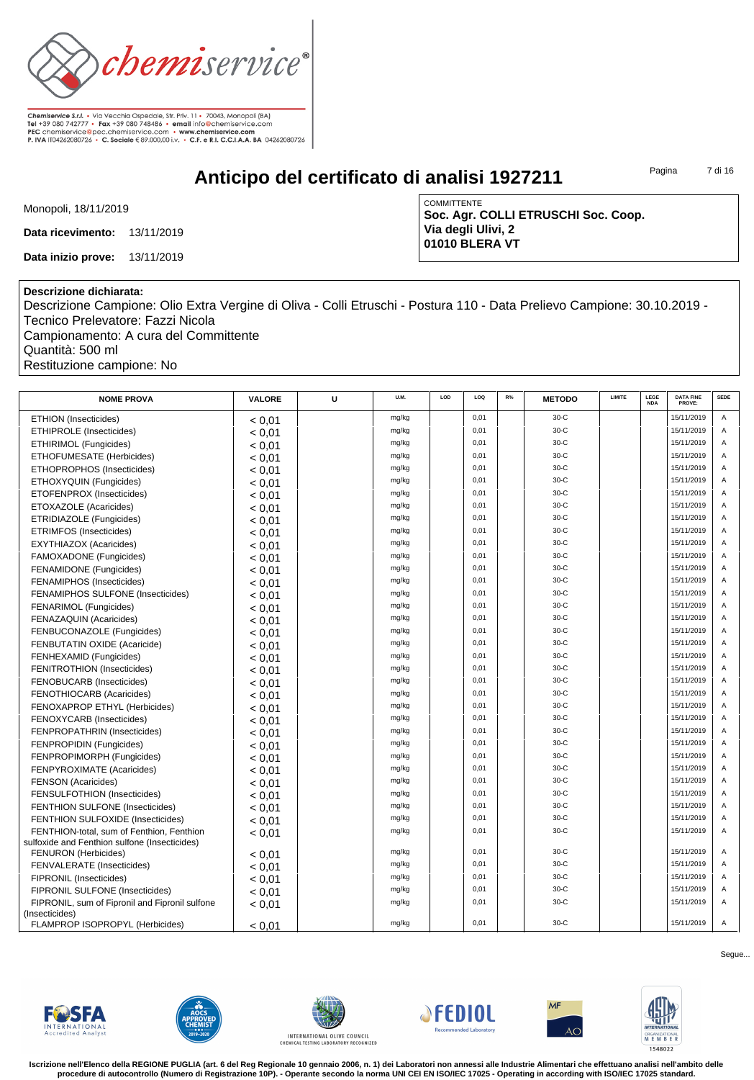

**Anticipo del certificato di analisi 1927211**

Pagina 7 di 16

Monopoli, 18/11/2019

**Data ricevimento:** 13/11/2019

**Data inizio prove:** 13/11/2019

COMMITTENTE **Soc. Agr. COLLI ETRUSCHI Soc. Coop. Via degli Ulivi, 2 01010 BLERA VT**

## **Descrizione dichiarata:**

Descrizione Campione: Olio Extra Vergine di Oliva - Colli Etruschi - Postura 110 - Data Prelievo Campione: 30.10.2019 - Tecnico Prelevatore: Fazzi Nicola Campionamento: A cura del Committente

Quantità: 500 ml

Restituzione campione: No

| <b>NOME PROVA</b>                                                | <b>VALORE</b> | U | U.M.  | LOD | LOQ  | R% | <b>METODO</b> | <b>LIMITE</b> | LEGE<br><b>NDA</b> | <b>DATA FINE</b><br>PROVE: | <b>SEDE</b>    |
|------------------------------------------------------------------|---------------|---|-------|-----|------|----|---------------|---------------|--------------------|----------------------------|----------------|
| <b>ETHION</b> (Insecticides)                                     | < 0.01        |   | mg/kg |     | 0.01 |    | $30-C$        |               |                    | 15/11/2019                 | A              |
| ETHIPROLE (Insecticides)                                         | < 0.01        |   | mg/kg |     | 0,01 |    | $30-C$        |               |                    | 15/11/2019                 | A              |
| <b>ETHIRIMOL (Fungicides)</b>                                    | < 0.01        |   | mg/kg |     | 0,01 |    | $30-C$        |               |                    | 15/11/2019                 | Α              |
| ETHOFUMESATE (Herbicides)                                        | < 0.01        |   | mg/kg |     | 0.01 |    | $30-C$        |               |                    | 15/11/2019                 | A              |
| ETHOPROPHOS (Insecticides)                                       | < 0.01        |   | mg/kg |     | 0.01 |    | $30-C$        |               |                    | 15/11/2019                 | A              |
| ETHOXYQUIN (Fungicides)                                          | < 0.01        |   | mg/kg |     | 0,01 |    | $30-C$        |               |                    | 15/11/2019                 | A              |
| ETOFENPROX (Insecticides)                                        | < 0,01        |   | mg/kg |     | 0,01 |    | $30-C$        |               |                    | 15/11/2019                 | A              |
| ETOXAZOLE (Acaricides)                                           | < 0.01        |   | mg/kg |     | 0.01 |    | $30-C$        |               |                    | 15/11/2019                 | $\Delta$       |
| ETRIDIAZOLE (Fungicides)                                         | < 0.01        |   | mg/kg |     | 0,01 |    | $30-C$        |               |                    | 15/11/2019                 | A              |
| <b>ETRIMFOS (Insecticides)</b>                                   | < 0.01        |   | mg/kg |     | 0,01 |    | $30-C$        |               |                    | 15/11/2019                 | A              |
| <b>EXYTHIAZOX (Acaricides)</b>                                   | < 0,01        |   | mg/kg |     | 0.01 |    | $30-C$        |               |                    | 15/11/2019                 | A              |
| FAMOXADONE (Fungicides)                                          | < 0.01        |   | mg/kg |     | 0.01 |    | $30-C$        |               |                    | 15/11/2019                 | A              |
| <b>FENAMIDONE</b> (Fungicides)                                   | < 0.01        |   | mg/kg |     | 0,01 |    | $30-C$        |               |                    | 15/11/2019                 | A              |
| <b>FENAMIPHOS (Insecticides)</b>                                 | < 0.01        |   | mg/kg |     | 0,01 |    | $30-C$        |               |                    | 15/11/2019                 | A              |
| FENAMIPHOS SULFONE (Insecticides)                                | < 0.01        |   | mg/kg |     | 0.01 |    | $30-C$        |               |                    | 15/11/2019                 | $\overline{A}$ |
| FENARIMOL (Fungicides)                                           | < 0.01        |   | mg/kg |     | 0,01 |    | $30-C$        |               |                    | 15/11/2019                 | A              |
| <b>FENAZAQUIN (Acaricides)</b>                                   | < 0.01        |   | mg/kg |     | 0,01 |    | $30-C$        |               |                    | 15/11/2019                 | A              |
| FENBUCONAZOLE (Fungicides)                                       | < 0.01        |   | mg/kg |     | 0,01 |    | $30-C$        |               |                    | 15/11/2019                 | A              |
| FENBUTATIN OXIDE (Acaricide)                                     | < 0.01        |   | mg/kg |     | 0.01 |    | $30-C$        |               |                    | 15/11/2019                 | A              |
| FENHEXAMID (Fungicides)                                          | < 0.01        |   | mg/kg |     | 0,01 |    | $30-C$        |               |                    | 15/11/2019                 | A              |
| <b>FENITROTHION (Insecticides)</b>                               | < 0.01        |   | mg/kg |     | 0,01 |    | $30-C$        |               |                    | 15/11/2019                 | A              |
| FENOBUCARB (Insecticides)                                        | < 0.01        |   | mg/kg |     | 0,01 |    | $30-C$        |               |                    | 15/11/2019                 | A              |
| FENOTHIOCARB (Acaricides)                                        | < 0.01        |   | mg/kg |     | 0.01 |    | $30-C$        |               |                    | 15/11/2019                 | A              |
| FENOXAPROP ETHYL (Herbicides)                                    | < 0.01        |   | mg/kg |     | 0,01 |    | $30-C$        |               |                    | 15/11/2019                 | A              |
| <b>FENOXYCARB</b> (Insecticides)                                 | < 0.01        |   | mg/kg |     | 0,01 |    | $30-C$        |               |                    | 15/11/2019                 | A              |
| FENPROPATHRIN (Insecticides)                                     | < 0.01        |   | mg/kg |     | 0.01 |    | $30-C$        |               |                    | 15/11/2019                 | A              |
| FENPROPIDIN (Fungicides)                                         | < 0.01        |   | mg/kg |     | 0,01 |    | $30-C$        |               |                    | 15/11/2019                 | A              |
| FENPROPIMORPH (Fungicides)                                       | < 0.01        |   | mg/kg |     | 0,01 |    | $30-C$        |               |                    | 15/11/2019                 | A              |
| FENPYROXIMATE (Acaricides)                                       | < 0.01        |   | mg/kg |     | 0,01 |    | $30-C$        |               |                    | 15/11/2019                 | A              |
| <b>FENSON (Acaricides)</b>                                       | < 0.01        |   | mg/kg |     | 0.01 |    | $30-C$        |               |                    | 15/11/2019                 | A              |
| FENSULFOTHION (Insecticides)                                     | < 0.01        |   | mg/kg |     | 0,01 |    | $30-C$        |               |                    | 15/11/2019                 | A              |
| <b>FENTHION SULFONE (Insecticides)</b>                           | < 0.01        |   | mg/kg |     | 0,01 |    | $30-C$        |               |                    | 15/11/2019                 | A              |
| FENTHION SULFOXIDE (Insecticides)                                | < 0.01        |   | mg/kg |     | 0,01 |    | $30-C$        |               |                    | 15/11/2019                 | A              |
| FENTHION-total, sum of Fenthion, Fenthion                        | < 0.01        |   | mg/kg |     | 0.01 |    | $30-C$        |               |                    | 15/11/2019                 | A              |
| sulfoxide and Fenthion sulfone (Insecticides)                    |               |   |       |     |      |    |               |               |                    |                            |                |
| <b>FENURON</b> (Herbicides)                                      | < 0.01        |   | mg/kg |     | 0.01 |    | $30-C$        |               |                    | 15/11/2019                 | A              |
| FENVALERATE (Insecticides)                                       | < 0.01        |   | mg/kg |     | 0.01 |    | $30-C$        |               |                    | 15/11/2019                 | A              |
| FIPRONIL (Insecticides)                                          | < 0.01        |   | mg/kg |     | 0,01 |    | $30-C$        |               |                    | 15/11/2019                 | A              |
| <b>FIPRONIL SULFONE (Insecticides)</b>                           | < 0.01        |   | mg/kg |     | 0,01 |    | $30-C$        |               |                    | 15/11/2019                 | A              |
| FIPRONIL, sum of Fipronil and Fipronil sulfone<br>(Insecticides) | < 0.01        |   | mg/kg |     | 0.01 |    | $30-C$        |               |                    | 15/11/2019                 | A              |
| FLAMPROP ISOPROPYL (Herbicides)                                  | < 0.01        |   | mg/kg |     | 0,01 |    | $30-C$        |               |                    | 15/11/2019                 | Α              |













**Iscrizione nell'Elenco della REGIONE PUGLIA (art. 6 del Reg Regionale 10 gennaio 2006, n. 1) dei Laboratori non annessi alle Industrie Alimentari che effettuano analisi nell'ambito delle procedure di autocontrollo (Numero di Registrazione 10P). - Operante secondo la norma UNI CEI EN ISO/IEC 17025 - Operating in according with ISO/IEC 17025 standard.**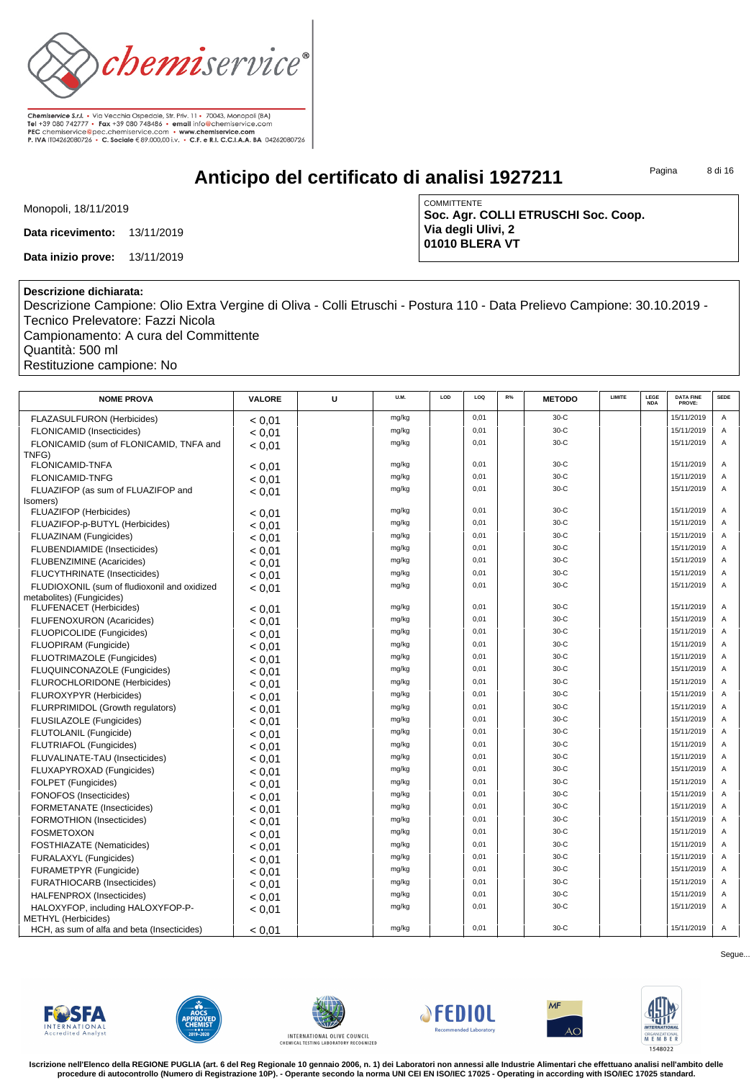

**Anticipo del certificato di analisi 1927211**

Pagina 8 di 16

Monopoli, 18/11/2019

**Data ricevimento:** 13/11/2019

**Data inizio prove:** 13/11/2019

COMMITTENTE **Soc. Agr. COLLI ETRUSCHI Soc. Coop. Via degli Ulivi, 2 01010 BLERA VT**

## **Descrizione dichiarata:**

Descrizione Campione: Olio Extra Vergine di Oliva - Colli Etruschi - Postura 110 - Data Prelievo Campione: 30.10.2019 - Tecnico Prelevatore: Fazzi Nicola Campionamento: A cura del Committente

Quantità: 500 ml Restituzione campione: No

| <b>NOME PROVA</b>                                                         | <b>VALORE</b> | U | U.M.  | LOD | LOQ          | R% | <b>METODO</b> | <b>LIMITE</b> | LEGE<br><b>NDA</b> | <b>DATA FINE</b><br>PROVE: | <b>SEDE</b> |
|---------------------------------------------------------------------------|---------------|---|-------|-----|--------------|----|---------------|---------------|--------------------|----------------------------|-------------|
| <b>FLAZASULFURON (Herbicides)</b>                                         | < 0.01        |   | mg/kg |     | 0,01         |    | $30-C$        |               |                    | 15/11/2019                 | A           |
| <b>FLONICAMID (Insecticides)</b>                                          | < 0.01        |   | mg/kg |     | 0,01         |    | $30-C$        |               |                    | 15/11/2019                 | A           |
| FLONICAMID (sum of FLONICAMID, TNFA and                                   | < 0.01        |   | mg/kg |     | 0,01         |    | $30-C$        |               |                    | 15/11/2019                 | A           |
| TNFG)                                                                     |               |   |       |     |              |    |               |               |                    |                            |             |
| <b>FLONICAMID-TNFA</b>                                                    | < 0.01        |   | mg/kg |     | 0,01         |    | $30-C$        |               |                    | 15/11/2019                 | Α           |
| <b>FLONICAMID-TNFG</b>                                                    | < 0.01        |   | mg/kg |     | 0,01         |    | $30-C$        |               |                    | 15/11/2019                 | A           |
| FLUAZIFOP (as sum of FLUAZIFOP and                                        | < 0.01        |   | mg/kg |     | 0,01         |    | $30-C$        |               |                    | 15/11/2019                 | Α           |
| (somers)<br>FLUAZIFOP (Herbicides)                                        |               |   | mg/kg |     | 0,01         |    | $30-C$        |               |                    | 15/11/2019                 | A           |
| FLUAZIFOP-p-BUTYL (Herbicides)                                            | < 0.01        |   | mg/kg |     | 0.01         |    | $30-C$        |               |                    | 15/11/2019                 | A           |
| FLUAZINAM (Fungicides)                                                    | < 0,01        |   | mg/kg |     | 0.01         |    | $30-C$        |               |                    | 15/11/2019                 | A           |
| FLUBENDIAMIDE (Insecticides)                                              | < 0.01        |   | mg/kg |     | 0,01         |    | $30-C$        |               |                    | 15/11/2019                 | A           |
| FLUBENZIMINE (Acaricides)                                                 | < 0.01        |   | mg/kg |     | 0.01         |    | $30-C$        |               |                    | 15/11/2019                 | A           |
| <b>FLUCYTHRINATE (Insecticides)</b>                                       | < 0.01        |   | mg/kg |     | 0.01         |    | $30-C$        |               |                    | 15/11/2019                 | A           |
|                                                                           | < 0.01        |   | mg/kg |     | 0.01         |    | $30-C$        |               |                    | 15/11/2019                 | A           |
| FLUDIOXONIL (sum of fludioxonil and oxidized<br>metabolites) (Fungicides) | < 0.01        |   |       |     |              |    | $30-C$        |               |                    |                            |             |
| <b>FLUFENACET</b> (Herbicides)                                            | < 0.01        |   | mg/kg |     | 0,01<br>0.01 |    | $30-C$        |               |                    | 15/11/2019<br>15/11/2019   | A           |
| FLUFENOXURON (Acaricides)                                                 | < 0.01        |   | mg/kg |     |              |    |               |               |                    |                            | A           |
| FLUOPICOLIDE (Fungicides)                                                 | < 0,01        |   | mg/kg |     | 0.01         |    | $30-C$        |               |                    | 15/11/2019                 | A           |
| FLUOPIRAM (Fungicide)                                                     | < 0.01        |   | mg/kg |     | 0.01         |    | $30-C$        |               |                    | 15/11/2019                 | A           |
| FLUOTRIMAZOLE (Fungicides)                                                | < 0.01        |   | mg/kg |     | 0.01         |    | $30-C$        |               |                    | 15/11/2019                 | A           |
| FLUQUINCONAZOLE (Fungicides)                                              | < 0,01        |   | mg/kg |     | 0,01         |    | $30-C$        |               |                    | 15/11/2019                 | A           |
| FLUROCHLORIDONE (Herbicides)                                              | < 0.01        |   | mg/kg |     | 0,01         |    | $30-C$        |               |                    | 15/11/2019                 | A           |
| FLUROXYPYR (Herbicides)                                                   | < 0,01        |   | mg/kg |     | 0.01         |    | $30-C$        |               |                    | 15/11/2019                 | A           |
| FLURPRIMIDOL (Growth regulators)                                          | < 0.01        |   | mg/kg |     | 0.01         |    | $30-C$        |               |                    | 15/11/2019                 | A           |
| FLUSILAZOLE (Fungicides)                                                  | < 0.01        |   | mg/kg |     | 0.01         |    | $30-C$        |               |                    | 15/11/2019                 | A           |
| FLUTOLANIL (Fungicide)                                                    | < 0.01        |   | mg/kg |     | 0,01         |    | $30-C$        |               |                    | 15/11/2019                 | A           |
| <b>FLUTRIAFOL (Fungicides)</b>                                            | < 0.01        |   | mg/kg |     | 0.01         |    | $30-C$        |               |                    | 15/11/2019                 | A           |
| FLUVALINATE-TAU (Insecticides)                                            | < 0.01        |   | mg/kg |     | 0.01         |    | $30-C$        |               |                    | 15/11/2019                 | A           |
| FLUXAPYROXAD (Fungicides)                                                 | < 0.01        |   | mg/kg |     | 0.01         |    | $30-C$        |               |                    | 15/11/2019                 | A           |
| FOLPET (Fungicides)                                                       | < 0.01        |   | mg/kg |     | 0.01         |    | $30-C$        |               |                    | 15/11/2019                 | A           |
| <b>FONOFOS</b> (Insecticides)                                             | < 0.01        |   | mg/kg |     | 0,01         |    | $30-C$        |               |                    | 15/11/2019                 | A           |
| FORMETANATE (Insecticides)                                                | < 0.01        |   | mg/kg |     | 0,01         |    | $30-C$        |               |                    | 15/11/2019                 | A           |
| <b>FORMOTHION (Insecticides)</b>                                          | < 0.01        |   | mg/kg |     | 0,01         |    | $30-C$        |               |                    | 15/11/2019                 | A           |
| <b>FOSMETOXON</b>                                                         | < 0.01        |   | mg/kg |     | 0,01         |    | $30-C$        |               |                    | 15/11/2019                 | Α           |
| <b>FOSTHIAZATE</b> (Nematicides)                                          | < 0.01        |   | mg/kg |     | 0,01         |    | $30-C$        |               |                    | 15/11/2019                 | A           |
| FURALAXYL (Fungicides)                                                    | < 0.01        |   | mg/kg |     | 0,01         |    | $30-C$        |               |                    | 15/11/2019                 | A           |
| FURAMETPYR (Fungicide)                                                    | < 0.01        |   | mg/kg |     | 0,01         |    | $30-C$        |               |                    | 15/11/2019                 | A           |
| <b>FURATHIOCARB (Insecticides)</b>                                        | < 0.01        |   | mg/kg |     | 0,01         |    | $30-C$        |               |                    | 15/11/2019                 | A           |
| HALFENPROX (Insecticides)                                                 | < 0.01        |   | mg/kg |     | 0,01         |    | $30-C$        |               |                    | 15/11/2019                 | Α           |
| HALOXYFOP, including HALOXYFOP-P-<br><b>METHYL</b> (Herbicides)           | < 0.01        |   | mg/kg |     | 0,01         |    | $30-C$        |               |                    | 15/11/2019                 | Α           |
| HCH, as sum of alfa and beta (Insecticides)                               | < 0.01        |   | mg/kg |     | 0.01         |    | $30-C$        |               |                    | 15/11/2019                 | A           |













**Iscrizione nell'Elenco della REGIONE PUGLIA (art. 6 del Reg Regionale 10 gennaio 2006, n. 1) dei Laboratori non annessi alle Industrie Alimentari che effettuano analisi nell'ambito delle procedure di autocontrollo (Numero di Registrazione 10P). - Operante secondo la norma UNI CEI EN ISO/IEC 17025 - Operating in according with ISO/IEC 17025 standard.**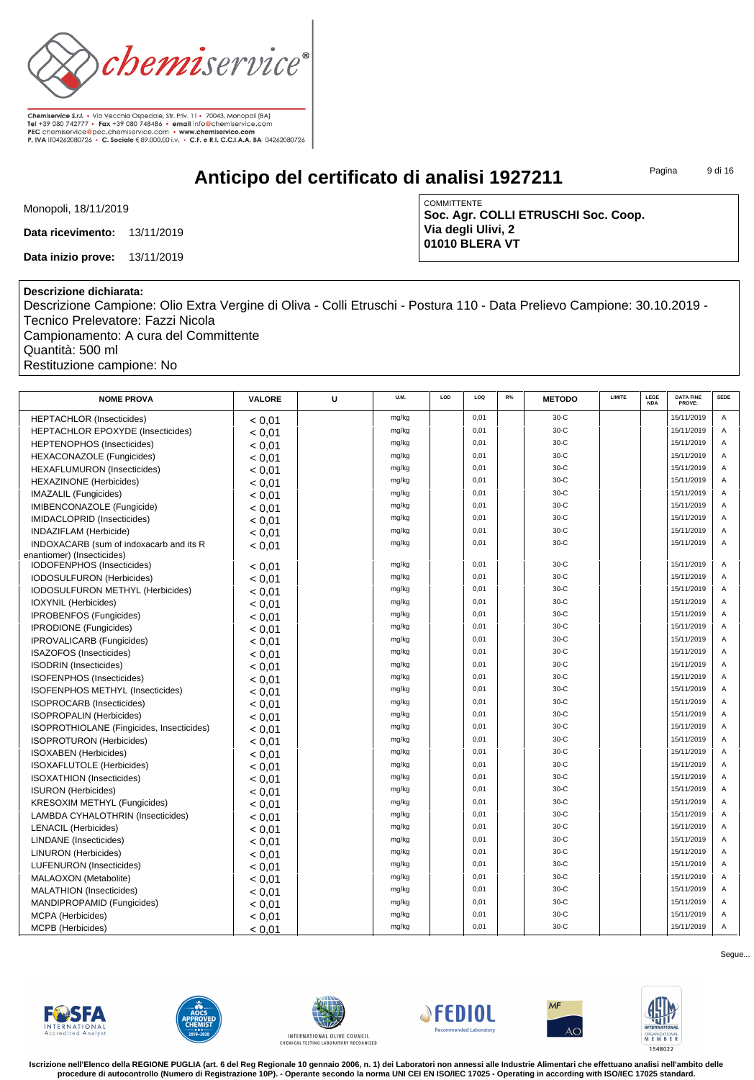

**Anticipo del certificato di analisi 1927211**

Pagina 9 di 16

Monopoli, 18/11/2019

**Data ricevimento:** 13/11/2019

**Data inizio prove:** 13/11/2019

COMMITTENTE **Soc. Agr. COLLI ETRUSCHI Soc. Coop. Via degli Ulivi, 2 01010 BLERA VT**

## **Descrizione dichiarata:**

Descrizione Campione: Olio Extra Vergine di Oliva - Colli Etruschi - Postura 110 - Data Prelievo Campione: 30.10.2019 - Tecnico Prelevatore: Fazzi Nicola Campionamento: A cura del Committente

Quantità: 500 ml

Restituzione campione: No

| <b>NOME PROVA</b>                         | <b>VALORE</b> | U | U.M.  | LOD | 100  | R% | <b>METODO</b> | <b>LIMITE</b> | <b>LEGE</b><br><b>NDA</b> | <b>DATA FINE</b><br>PROVE: | SEDE           |
|-------------------------------------------|---------------|---|-------|-----|------|----|---------------|---------------|---------------------------|----------------------------|----------------|
| <b>HEPTACHLOR (Insecticides)</b>          | < 0.01        |   | mg/kg |     | 0,01 |    | $30-C$        |               |                           | 15/11/2019                 | $\overline{A}$ |
| HEPTACHLOR EPOXYDE (Insecticides)         | < 0.01        |   | mg/kg |     | 0,01 |    | $30-C$        |               |                           | 15/11/2019                 | A              |
| HEPTENOPHOS (Insecticides)                | < 0.01        |   | mg/kg |     | 0,01 |    | $30-C$        |               |                           | 15/11/2019                 | $\overline{A}$ |
| <b>HEXACONAZOLE</b> (Fungicides)          | < 0.01        |   | mg/kg |     | 0,01 |    | $30-C$        |               |                           | 15/11/2019                 | $\overline{A}$ |
| <b>HEXAFLUMURON</b> (Insecticides)        | < 0.01        |   | mg/kg |     | 0,01 |    | $30-C$        |               |                           | 15/11/2019                 | A              |
| <b>HEXAZINONE</b> (Herbicides)            | < 0.01        |   | mg/kg |     | 0,01 |    | $30-C$        |               |                           | 15/11/2019                 | $\overline{A}$ |
| IMAZALIL (Fungicides)                     | < 0.01        |   | mg/kg |     | 0,01 |    | $30-C$        |               |                           | 15/11/2019                 | $\overline{A}$ |
| IMIBENCONAZOLE (Fungicide)                | < 0.01        |   | mg/kg |     | 0,01 |    | $30-C$        |               |                           | 15/11/2019                 | $\overline{A}$ |
| IMIDACLOPRID (Insecticides)               | < 0.01        |   | mg/kg |     | 0,01 |    | $30-C$        |               |                           | 15/11/2019                 | A              |
| INDAZIFLAM (Herbicide)                    | < 0.01        |   | mg/kg |     | 0.01 |    | $30-C$        |               |                           | 15/11/2019                 | A              |
| INDOXACARB (sum of indoxacarb and its R   | < 0.01        |   | mg/kg |     | 0.01 |    | $30-C$        |               |                           | 15/11/2019                 | $\overline{A}$ |
| enantiomer) (Insecticides)                |               |   |       |     |      |    |               |               |                           |                            |                |
| IODOFENPHOS (Insecticides)                | < 0.01        |   | mg/kg |     | 0,01 |    | $30-C$        |               |                           | 15/11/2019                 | A              |
| <b>IODOSULFURON</b> (Herbicides)          | < 0.01        |   | mg/kg |     | 0,01 |    | $30-C$        |               |                           | 15/11/2019                 | A              |
| IODOSULFURON METHYL (Herbicides)          | < 0.01        |   | mg/kg |     | 0,01 |    | $30-C$        |               |                           | 15/11/2019                 | A              |
| IOXYNIL (Herbicides)                      | < 0.01        |   | mg/kg |     | 0,01 |    | $30-C$        |               |                           | 15/11/2019                 | A              |
| IPROBENFOS (Fungicides)                   | < 0.01        |   | mg/kg |     | 0,01 |    | $30-C$        |               |                           | 15/11/2019                 | A              |
| IPRODIONE (Fungicides)                    | < 0.01        |   | mg/kg |     | 0,01 |    | $30-C$        |               |                           | 15/11/2019                 | A              |
| IPROVALICARB (Fungicides)                 | < 0.01        |   | mg/kg |     | 0,01 |    | $30-C$        |               |                           | 15/11/2019                 | $\overline{A}$ |
| ISAZOFOS (Insecticides)                   | < 0.01        |   | mg/kg |     | 0,01 |    | $30-C$        |               |                           | 15/11/2019                 | A              |
| <b>ISODRIN</b> (Insecticides)             | < 0.01        |   | mg/kg |     | 0,01 |    | $30-C$        |               |                           | 15/11/2019                 | $\overline{A}$ |
| ISOFENPHOS (Insecticides)                 | < 0.01        |   | mg/kg |     | 0,01 |    | $30-C$        |               |                           | 15/11/2019                 | $\mathsf{A}$   |
| ISOFENPHOS METHYL (Insecticides)          | < 0.01        |   | mg/kg |     | 0.01 |    | $30-C$        |               |                           | 15/11/2019                 | $\overline{A}$ |
| ISOPROCARB (Insecticides)                 | < 0.01        |   | mg/kg |     | 0.01 |    | $30-C$        |               |                           | 15/11/2019                 | $\overline{A}$ |
| <b>ISOPROPALIN (Herbicides)</b>           | < 0.01        |   | mg/kg |     | 0,01 |    | $30-C$        |               |                           | 15/11/2019                 | $\overline{A}$ |
| ISOPROTHIOLANE (Fingicides, Insecticides) | < 0.01        |   | mg/kg |     | 0,01 |    | $30-C$        |               |                           | 15/11/2019                 | $\overline{A}$ |
| <b>ISOPROTURON</b> (Herbicides)           | < 0.01        |   | mg/kg |     | 0,01 |    | $30-C$        |               |                           | 15/11/2019                 | $\overline{A}$ |
| <b>ISOXABEN</b> (Herbicides)              | < 0.01        |   | mg/kg |     | 0.01 |    | $30-C$        |               |                           | 15/11/2019                 | $\overline{A}$ |
| <b>ISOXAFLUTOLE</b> (Herbicides)          | < 0.01        |   | mg/kg |     | 0.01 |    | $30-C$        |               |                           | 15/11/2019                 | $\overline{A}$ |
| <b>ISOXATHION</b> (Insecticides)          | < 0.01        |   | mg/kg |     | 0.01 |    | $30-C$        |               |                           | 15/11/2019                 | $\overline{A}$ |
| <b>ISURON</b> (Herbicides)                | < 0.01        |   | mg/kg |     | 0.01 |    | $30-C$        |               |                           | 15/11/2019                 | $\overline{A}$ |
| <b>KRESOXIM METHYL (Fungicides)</b>       | < 0.01        |   | mg/kg |     | 0.01 |    | $30-C$        |               |                           | 15/11/2019                 | $\overline{A}$ |
| LAMBDA CYHALOTHRIN (Insecticides)         | < 0.01        |   | mg/kg |     | 0.01 |    | $30-C$        |               |                           | 15/11/2019                 | $\overline{A}$ |
| <b>LENACIL (Herbicides)</b>               | < 0.01        |   | mg/kg |     | 0.01 |    | $30-C$        |               |                           | 15/11/2019                 | $\overline{A}$ |
| LINDANE (Insecticides)                    | < 0.01        |   | mg/kg |     | 0,01 |    | $30-C$        |               |                           | 15/11/2019                 | A              |
| <b>LINURON</b> (Herbicides)               | < 0.01        |   | mg/kg |     | 0.01 |    | $30-C$        |               |                           | 15/11/2019                 | $\overline{A}$ |
| LUFENURON (Insecticides)                  | < 0.01        |   | mg/kg |     | 0,01 |    | $30-C$        |               |                           | 15/11/2019                 | $\overline{A}$ |
| MALAOXON (Metabolite)                     | < 0.01        |   | mg/kg |     | 0,01 |    | $30-C$        |               |                           | 15/11/2019                 | A              |
| <b>MALATHION</b> (Insecticides)           | < 0.01        |   | mg/kg |     | 0,01 |    | $30-C$        |               |                           | 15/11/2019                 | A              |
| MANDIPROPAMID (Fungicides)                | < 0.01        |   | mg/kg |     | 0,01 |    | $30-C$        |               |                           | 15/11/2019                 | Α              |
| MCPA (Herbicides)                         | < 0.01        |   | mg/kg |     | 0,01 |    | $30-C$        |               |                           | 15/11/2019                 | A              |
| MCPB (Herbicides)                         | < 0.01        |   | mg/kg |     | 0,01 |    | $30-C$        |               |                           | 15/11/2019                 | A              |













**Iscrizione nell'Elenco della REGIONE PUGLIA (art. 6 del Reg Regionale 10 gennaio 2006, n. 1) dei Laboratori non annessi alle Industrie Alimentari che effettuano analisi nell'ambito delle procedure di autocontrollo (Numero di Registrazione 10P). - Operante secondo la norma UNI CEI EN ISO/IEC 17025 - Operating in according with ISO/IEC 17025 standard.**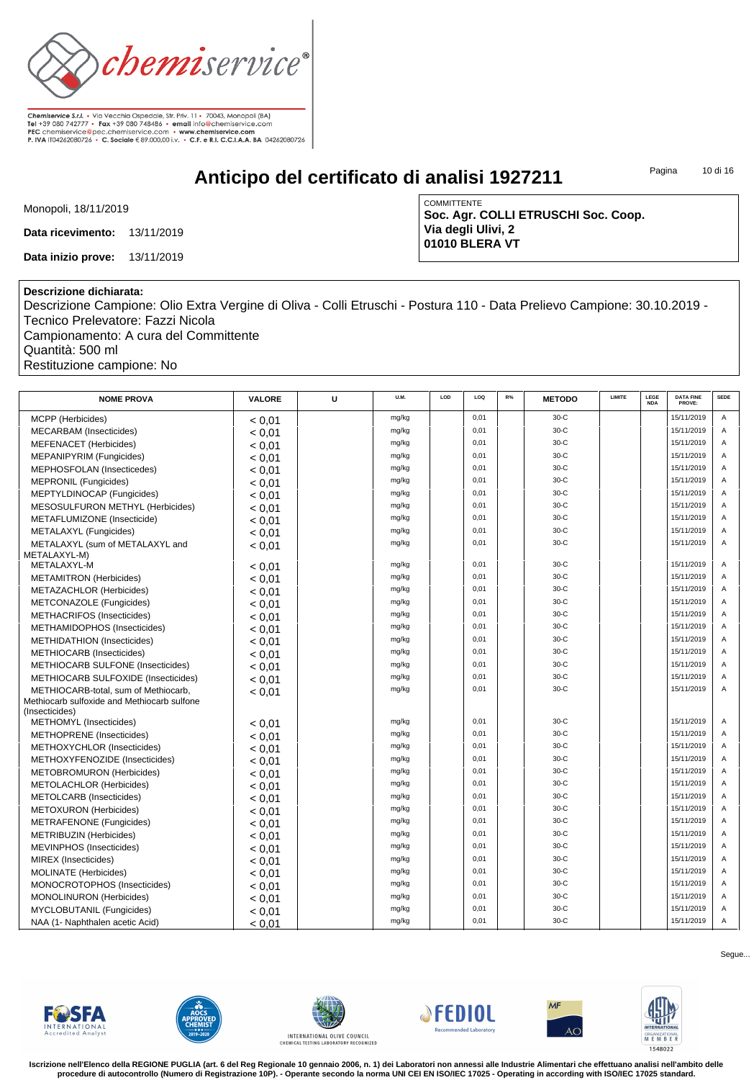

**Anticipo del certificato di analisi 1927211**

Pagina 10 di 16

Monopoli, 18/11/2019

**Data ricevimento:** 13/11/2019

**Data inizio prove:** 13/11/2019

COMMITTENTE **Soc. Agr. COLLI ETRUSCHI Soc. Coop. Via degli Ulivi, 2 01010 BLERA VT**

## **Descrizione dichiarata:**

Descrizione Campione: Olio Extra Vergine di Oliva - Colli Etruschi - Postura 110 - Data Prelievo Campione: 30.10.2019 - Tecnico Prelevatore: Fazzi Nicola Campionamento: A cura del Committente

Quantità: 500 ml Restituzione campione: No

| <b>NOME PROVA</b>                           | <b>VALORE</b> | U | U.M.  | LOD | LOQ  | R% | <b>METODO</b> | LIMITE | LEGE<br><b>NDA</b> | <b>DATA FINE</b><br>PROVE: | <b>SEDE</b> |
|---------------------------------------------|---------------|---|-------|-----|------|----|---------------|--------|--------------------|----------------------------|-------------|
| <b>MCPP</b> (Herbicides)                    | < 0.01        |   | mg/kg |     | 0,01 |    | $30-C$        |        |                    | 15/11/2019                 | Α           |
| <b>MECARBAM</b> (Insecticides)              | < 0.01        |   | mg/kg |     | 0,01 |    | $30-C$        |        |                    | 15/11/2019                 | A           |
| <b>MEFENACET</b> (Herbicides)               | < 0.01        |   | mg/kg |     | 0.01 |    | $30-C$        |        |                    | 15/11/2019                 | A           |
| MEPANIPYRIM (Fungicides)                    | < 0.01        |   | mg/kg |     | 0.01 |    | $30-C$        |        |                    | 15/11/2019                 | A           |
| MEPHOSFOLAN (Insecticedes)                  | < 0.01        |   | mg/kg |     | 0.01 |    | $30-C$        |        |                    | 15/11/2019                 | A           |
| <b>MEPRONIL (Fungicides)</b>                | < 0.01        |   | mg/kg |     | 0,01 |    | $30-C$        |        |                    | 15/11/2019                 | A           |
| MEPTYLDINOCAP (Fungicides)                  | < 0.01        |   | mg/kg |     | 0.01 |    | $30-C$        |        |                    | 15/11/2019                 | A           |
| MESOSULFURON METHYL (Herbicides)            | < 0.01        |   | mg/kg |     | 0.01 |    | $30-C$        |        |                    | 15/11/2019                 | A           |
| METAFLUMIZONE (Insecticide)                 | < 0,01        |   | mg/kg |     | 0,01 |    | $30-C$        |        |                    | 15/11/2019                 | A           |
| METALAXYL (Fungicides)                      | < 0.01        |   | mg/kg |     | 0,01 |    | $30-C$        |        |                    | 15/11/2019                 | A           |
| METALAXYL (sum of METALAXYL and             | < 0.01        |   | mg/kg |     | 0,01 |    | $30-C$        |        |                    | 15/11/2019                 | A           |
| METALAXYL-M)                                |               |   |       |     |      |    |               |        |                    |                            |             |
| METALAXYL-M                                 | < 0.01        |   | mg/kg |     | 0,01 |    | $30-C$        |        |                    | 15/11/2019                 | Α           |
| <b>METAMITRON</b> (Herbicides)              | < 0.01        |   | mg/kg |     | 0.01 |    | $30-C$        |        |                    | 15/11/2019                 | A           |
| METAZACHLOR (Herbicides)                    | < 0.01        |   | mg/kg |     | 0.01 |    | $30-C$        |        |                    | 15/11/2019                 | A           |
| METCONAZOLE (Fungicides)                    | < 0.01        |   | mg/kg |     | 0,01 |    | $30-C$        |        |                    | 15/11/2019                 | A           |
| METHACRIFOS (Insecticides)                  | < 0.01        |   | mg/kg |     | 0,01 |    | $30-C$        |        |                    | 15/11/2019                 | A           |
| METHAMIDOPHOS (Insecticides)                | < 0.01        |   | mg/kg |     | 0.01 |    | $30-C$        |        |                    | 15/11/2019                 | A           |
| METHIDATHION (Insecticides)                 | < 0.01        |   | mg/kg |     | 0.01 |    | $30-C$        |        |                    | 15/11/2019                 | A           |
| METHIOCARB (Insecticides)                   | < 0.01        |   | mg/kg |     | 0,01 |    | $30-C$        |        |                    | 15/11/2019                 | A           |
| <b>METHIOCARB SULFONE (Insecticides)</b>    | < 0.01        |   | mg/kg |     | 0,01 |    | $30-C$        |        |                    | 15/11/2019                 | A           |
| METHIOCARB SULFOXIDE (Insecticides)         | < 0.01        |   | mg/kg |     | 0.01 |    | $30-C$        |        |                    | 15/11/2019                 | A           |
| METHIOCARB-total, sum of Methiocarb,        | < 0.01        |   | mg/kg |     | 0.01 |    | $30-C$        |        |                    | 15/11/2019                 | A           |
| Methiocarb sulfoxide and Methiocarb sulfone |               |   |       |     |      |    |               |        |                    |                            |             |
| (Insecticides)                              |               |   | mg/kg |     | 0,01 |    | $30-C$        |        |                    | 15/11/2019                 | Α           |
| METHOMYL (Insecticides)                     | < 0.01        |   | mg/kg |     | 0.01 |    | $30-C$        |        |                    | 15/11/2019                 | A           |
| METHOPRENE (Insecticides)                   | < 0.01        |   | mg/kg |     | 0.01 |    | $30-C$        |        |                    | 15/11/2019                 | A           |
| METHOXYCHLOR (Insecticides)                 | < 0.01        |   | mg/kg |     | 0.01 |    | $30-C$        |        |                    | 15/11/2019                 | A           |
| METHOXYFENOZIDE (Insecticides)              | < 0.01        |   | mg/kg |     | 0,01 |    | $30-C$        |        |                    | 15/11/2019                 | A           |
| <b>METOBROMURON</b> (Herbicides)            | < 0.01        |   | mg/kg |     | 0.01 |    | $30-C$        |        |                    | 15/11/2019                 | A           |
| <b>METOLACHLOR (Herbicides)</b>             | < 0.01        |   | mg/kg |     | 0.01 |    | $30-C$        |        |                    | 15/11/2019                 | A           |
| METOLCARB (Insecticides)                    | < 0.01        |   |       |     | 0,01 |    | $30-C$        |        |                    | 15/11/2019                 | A           |
| <b>METOXURON</b> (Herbicides)               | < 0.01        |   | mg/kg |     |      |    |               |        |                    |                            |             |
| METRAFENONE (Fungicides)                    | < 0.01        |   | mg/kg |     | 0,01 |    | $30-C$        |        |                    | 15/11/2019                 | A           |
| <b>METRIBUZIN (Herbicides)</b>              | < 0.01        |   | mg/kg |     | 0.01 |    | $30-C$        |        |                    | 15/11/2019                 | A           |
| MEVINPHOS (Insecticides)                    | < 0.01        |   | mg/kg |     | 0.01 |    | $30-C$        |        |                    | 15/11/2019                 | A           |
| MIREX (Insecticides)                        | < 0.01        |   | mg/kg |     | 0.01 |    | $30-C$        |        |                    | 15/11/2019                 | A           |
| <b>MOLINATE</b> (Herbicides)                | < 0.01        |   | mg/kg |     | 0,01 |    | $30-C$        |        |                    | 15/11/2019                 | A           |
| MONOCROTOPHOS (Insecticides)                | < 0.01        |   | mg/kg |     | 0.01 |    | $30-C$        |        |                    | 15/11/2019                 | A           |
| MONOLINURON (Herbicides)                    | < 0.01        |   | mg/kg |     | 0.01 |    | $30-C$        |        |                    | 15/11/2019                 | A           |
| MYCLOBUTANIL (Fungicides)                   | < 0.01        |   | mg/kg |     | 0,01 |    | $30-C$        |        |                    | 15/11/2019                 | A           |
| NAA (1- Naphthalen acetic Acid)             | < 0.01        |   | mg/kg |     | 0,01 |    | $30-C$        |        |                    | 15/11/2019                 | Α           |













**Iscrizione nell'Elenco della REGIONE PUGLIA (art. 6 del Reg Regionale 10 gennaio 2006, n. 1) dei Laboratori non annessi alle Industrie Alimentari che effettuano analisi nell'ambito delle procedure di autocontrollo (Numero di Registrazione 10P). - Operante secondo la norma UNI CEI EN ISO/IEC 17025 - Operating in according with ISO/IEC 17025 standard.**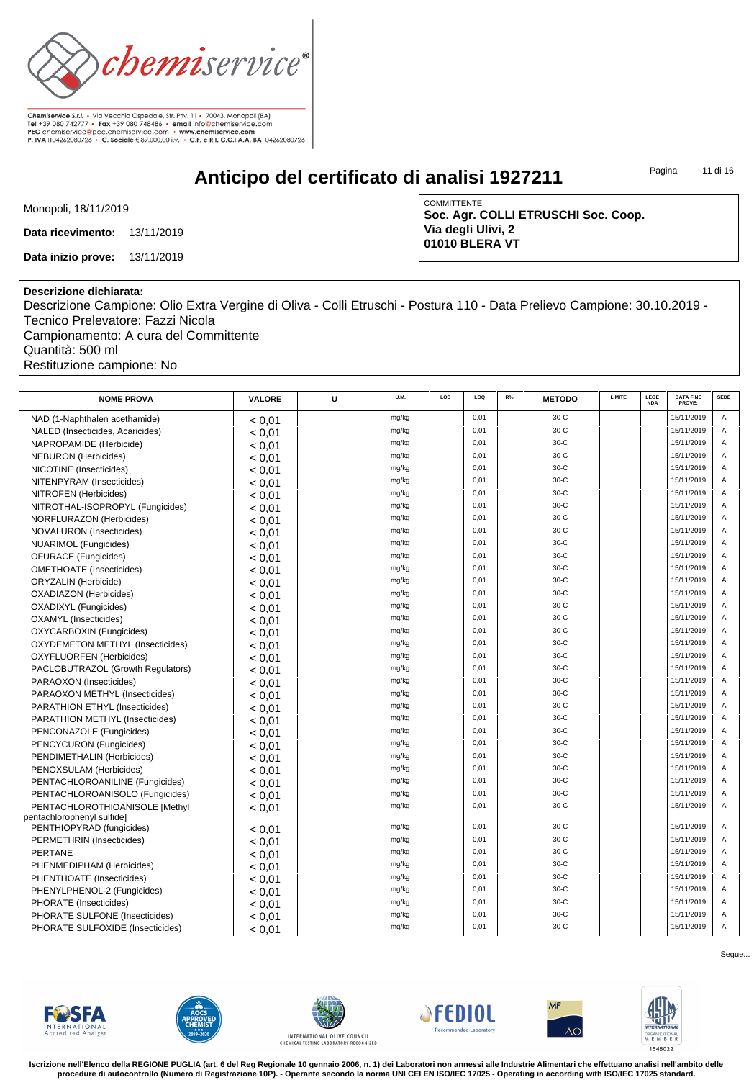

**Anticipo del certificato di analisi 1927211**

Pagina 11 di 16

Monopoli, 18/11/2019

**Data ricevimento:** 13/11/2019

**Data inizio prove:** 13/11/2019

COMMITTENTE **Soc. Agr. COLLI ETRUSCHI Soc. Coop. Via degli Ulivi, 2 01010 BLERA VT**

## **Descrizione dichiarata:**

Descrizione Campione: Olio Extra Vergine di Oliva - Colli Etruschi - Postura 110 - Data Prelievo Campione: 30.10.2019 - Tecnico Prelevatore: Fazzi Nicola Campionamento: A cura del Committente

Quantità: 500 ml Restituzione campione: No

| <b>NOME PROVA</b>                 | VALORE | U | U.M.  | LOD | LOQ          | R% | <b>METODO</b> | <b>LIMITE</b> | LEGE<br><b>NDA</b> | <b>DATA FINE</b><br>PROVE: | <b>SEDE</b>    |
|-----------------------------------|--------|---|-------|-----|--------------|----|---------------|---------------|--------------------|----------------------------|----------------|
| NAD (1-Naphthalen acethamide)     | < 0.01 |   | mg/kg |     | 0,01         |    | $30-C$        |               |                    | 15/11/2019                 | $\overline{A}$ |
| NALED (Insecticides, Acaricides)  | < 0.01 |   | mg/kg |     | 0.01         |    | $30-C$        |               |                    | 15/11/2019                 | A              |
| NAPROPAMIDE (Herbicide)           | < 0.01 |   | mg/kg |     | 0.01         |    | $30-C$        |               |                    | 15/11/2019                 | A              |
| <b>NEBURON</b> (Herbicides)       | < 0.01 |   | mg/kg |     | 0,01         |    | $30-C$        |               |                    | 15/11/2019                 | A              |
| NICOTINE (Insecticides)           | < 0.01 |   | mg/kg |     | 0,01         |    | $30-C$        |               |                    | 15/11/2019                 | A              |
| NITENPYRAM (Insecticides)         | < 0.01 |   | mg/kg |     | 0,01         |    | $30-C$        |               |                    | 15/11/2019                 | A              |
| NITROFEN (Herbicides)             | < 0.01 |   | mg/kg |     | 0,01         |    | $30-C$        |               |                    | 15/11/2019                 | A              |
| NITROTHAL-ISOPROPYL (Fungicides)  | < 0.01 |   | mg/kg |     | 0,01         |    | $30-C$        |               |                    | 15/11/2019                 | A              |
| NORFLURAZON (Herbicides)          | < 0.01 |   | mg/kg |     | 0,01         |    | $30-C$        |               |                    | 15/11/2019                 | A              |
| NOVALURON (Insecticides)          | < 0.01 |   | mg/kg |     | 0,01         |    | $30-C$        |               |                    | 15/11/2019                 | A              |
| <b>NUARIMOL</b> (Fungicides)      | < 0.01 |   | mg/kg |     | 0,01         |    | $30-C$        |               |                    | 15/11/2019                 | A              |
| <b>OFURACE</b> (Fungicides)       | < 0.01 |   | mg/kg |     | 0.01         |    | $30-C$        |               |                    | 15/11/2019                 | A              |
| <b>OMETHOATE</b> (Insecticides)   | < 0.01 |   | mg/kg |     | 0,01         |    | $30-C$        |               |                    | 15/11/2019                 | A              |
| ORYZALIN (Herbicide)              | < 0.01 |   | mg/kg |     | 0,01         |    | $30-C$        |               |                    | 15/11/2019                 | A              |
| <b>OXADIAZON</b> (Herbicides)     | < 0.01 |   | mg/kg |     | 0,01         |    | $30-C$        |               |                    | 15/11/2019                 | A              |
| <b>OXADIXYL</b> (Fungicides)      | < 0.01 |   | mg/kg |     | 0.01         |    | $30-C$        |               |                    | 15/11/2019                 | $\mathsf{A}$   |
| <b>OXAMYL</b> (Insecticides)      | < 0,01 |   | mg/kg |     | 0.01         |    | $30-C$        |               |                    | 15/11/2019                 | A              |
| <b>OXYCARBOXIN (Fungicides)</b>   | < 0.01 |   | mg/kg |     | 0.01         |    | $30-C$        |               |                    | 15/11/2019                 | A              |
| OXYDEMETON METHYL (Insecticides)  | < 0.01 |   | mg/kg |     | 0,01         |    | $30-C$        |               |                    | 15/11/2019                 | A              |
| <b>OXYFLUORFEN</b> (Herbicides)   | < 0.01 |   | mg/kg |     | 0,01         |    | $30-C$        |               |                    | 15/11/2019                 | A              |
| PACLOBUTRAZOL (Growth Regulators) | < 0.01 |   | mg/kg |     | 0.01         |    | $30-C$        |               |                    | 15/11/2019                 | A              |
| PARAOXON (Insecticides)           | < 0.01 |   | mg/kg |     | 0.01         |    | $30-C$        |               |                    | 15/11/2019                 | A              |
| PARAOXON METHYL (Insecticides)    | < 0.01 |   | mg/kg |     | 0.01         |    | $30-C$        |               |                    | 15/11/2019                 | A              |
| PARATHION ETHYL (Insecticides)    | < 0.01 |   | mg/kg |     | 0.01         |    | $30-C$        |               |                    | 15/11/2019                 | A              |
| PARATHION METHYL (Insecticides)   | < 0.01 |   | mg/kg |     | 0.01         |    | $30-C$        |               |                    | 15/11/2019                 | A              |
| PENCONAZOLE (Fungicides)          | < 0.01 |   | mg/kg |     | 0.01         |    | $30-C$        |               |                    | 15/11/2019                 | A              |
| PENCYCURON (Fungicides)           | < 0.01 |   | mg/kg |     | 0,01         |    | $30-C$        |               |                    | 15/11/2019                 | Α              |
| PENDIMETHALIN (Herbicides)        | < 0.01 |   | mg/kg |     | 0.01         |    | $30-C$        |               |                    | 15/11/2019                 | A              |
| PENOXSULAM (Herbicides)           | < 0.01 |   | mg/kg |     | 0,01         |    | $30-C$        |               |                    | 15/11/2019                 | A              |
| PENTACHLOROANILINE (Fungicides)   | < 0.01 |   | mg/kg |     | 0,01         |    | $30-C$        |               |                    | 15/11/2019                 | Α              |
| PENTACHLOROANISOLO (Fungicides)   | < 0.01 |   | mg/kg |     | 0,01         |    | $30-C$        |               |                    | 15/11/2019                 | A              |
| PENTACHLOROTHIOANISOLE IMethyl    | < 0.01 |   | mg/kg |     | 0,01         |    | $30-C$        |               |                    | 15/11/2019                 | A              |
| pentachlorophenyl sulfide]        |        |   |       |     |              |    | $30-C$        |               |                    |                            |                |
| PENTHIOPYRAD (fungicides)         | < 0.01 |   | mg/kg |     | 0,01<br>0.01 |    | $30-C$        |               |                    | 15/11/2019                 | A              |
| PERMETHRIN (Insecticides)         | < 0.01 |   | mg/kg |     |              |    |               |               |                    | 15/11/2019                 | A              |
| <b>PERTANE</b>                    | < 0.01 |   | mg/kg |     | 0.01         |    | $30-C$        |               |                    | 15/11/2019                 | A              |
| PHENMEDIPHAM (Herbicides)         | < 0.01 |   | mg/kg |     | 0.01         |    | $30-C$        |               |                    | 15/11/2019                 | A              |
| PHENTHOATE (Insecticides)         | < 0.01 |   | mg/kg |     | 0,01         |    | $30-C$        |               |                    | 15/11/2019                 | A              |
| PHENYLPHENOL-2 (Fungicides)       | < 0,01 |   | mg/kg |     | 0,01         |    | $30-C$        |               |                    | 15/11/2019                 | A              |
| PHORATE (Insecticides)            | < 0.01 |   | mg/kg |     | 0,01         |    | $30-C$        |               |                    | 15/11/2019                 | A              |
| PHORATE SULFONE (Insecticides)    | < 0.01 |   | mg/kg |     | 0,01         |    | $30-C$        |               |                    | 15/11/2019                 | A              |
| PHORATE SULFOXIDE (Insecticides)  | < 0.01 |   | mg/kg |     | 0,01         |    | $30-C$        |               |                    | 15/11/2019                 | Α              |













**Iscrizione nell'Elenco della REGIONE PUGLIA (art. 6 del Reg Regionale 10 gennaio 2006, n. 1) dei Laboratori non annessi alle Industrie Alimentari che effettuano analisi nell'ambito delle procedure di autocontrollo (Numero di Registrazione 10P). - Operante secondo la norma UNI CEI EN ISO/IEC 17025 - Operating in according with ISO/IEC 17025 standard.**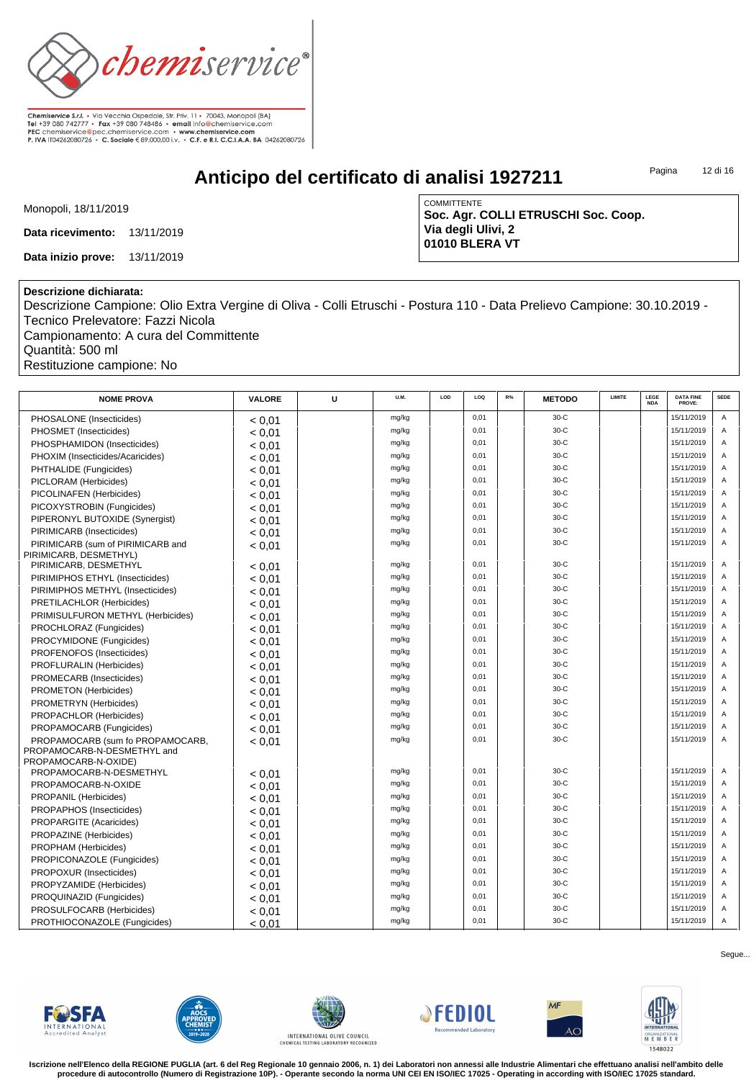

**Anticipo del certificato di analisi 1927211**

Pagina 12 di 16

Monopoli, 18/11/2019

**Data ricevimento:** 13/11/2019

**Data inizio prove:** 13/11/2019

COMMITTENTE **Soc. Agr. COLLI ETRUSCHI Soc. Coop. Via degli Ulivi, 2 01010 BLERA VT**

## **Descrizione dichiarata:**

Descrizione Campione: Olio Extra Vergine di Oliva - Colli Etruschi - Postura 110 - Data Prelievo Campione: 30.10.2019 - Tecnico Prelevatore: Fazzi Nicola Campionamento: A cura del Committente

Quantità: 500 ml Restituzione campione: No

| <b>NOME PROVA</b>                                   | <b>VALORE</b> | U | U.M.  | LOD | LOQ  | R% | <b>METODO</b> | LIMITE | LEGE<br><b>NDA</b> | <b>DATA FINE</b><br>PROVE: | <b>SEDE</b> |
|-----------------------------------------------------|---------------|---|-------|-----|------|----|---------------|--------|--------------------|----------------------------|-------------|
| PHOSALONE (Insecticides)                            | < 0.01        |   | mg/kg |     | 0,01 |    | $30-C$        |        |                    | 15/11/2019                 | Α           |
| PHOSMET (Insecticides)                              | < 0.01        |   | mg/kg |     | 0,01 |    | $30-C$        |        |                    | 15/11/2019                 | A           |
| PHOSPHAMIDON (Insecticides)                         | < 0.01        |   | mg/kg |     | 0,01 |    | $30-C$        |        |                    | 15/11/2019                 | A           |
| PHOXIM (Insecticides/Acaricides)                    | < 0.01        |   | mg/kg |     | 0,01 |    | $30-C$        |        |                    | 15/11/2019                 | A           |
| PHTHALIDE (Fungicides)                              | < 0.01        |   | mg/kg |     | 0,01 |    | $30-C$        |        |                    | 15/11/2019                 | A           |
| PICLORAM (Herbicides)                               | < 0.01        |   | mg/kg |     | 0.01 |    | $30-C$        |        |                    | 15/11/2019                 | A           |
| PICOLINAFEN (Herbicides)                            | < 0.01        |   | mg/kg |     | 0,01 |    | $30-C$        |        |                    | 15/11/2019                 | A           |
| PICOXYSTROBIN (Fungicides)                          | < 0.01        |   | mg/kg |     | 0,01 |    | $30-C$        |        |                    | 15/11/2019                 | A           |
| PIPERONYL BUTOXIDE (Synergist)                      | < 0.01        |   | mg/kg |     | 0.01 |    | $30-C$        |        |                    | 15/11/2019                 | A           |
| PIRIMICARB (Insecticides)                           | < 0.01        |   | mg/kg |     | 0,01 |    | $30-C$        |        |                    | 15/11/2019                 | A           |
| PIRIMICARB (sum of PIRIMICARB and                   | < 0.01        |   | mg/kg |     | 0,01 |    | $30-C$        |        |                    | 15/11/2019                 | A           |
| PIRIMICARB, DESMETHYL)                              |               |   |       |     |      |    |               |        |                    |                            |             |
| PIRIMICARB, DESMETHYL                               | < 0.01        |   | mg/kg |     | 0.01 |    | $30-C$        |        |                    | 15/11/2019                 | A           |
| PIRIMIPHOS ETHYL (Insecticides)                     | < 0.01        |   | mg/kg |     | 0,01 |    | $30-C$        |        |                    | 15/11/2019                 | A           |
| PIRIMIPHOS METHYL (Insecticides)                    | < 0.01        |   | mg/kg |     | 0.01 |    | $30-C$        |        |                    | 15/11/2019                 | A           |
| PRETILACHLOR (Herbicides)                           | < 0.01        |   | mg/kg |     | 0.01 |    | $30-C$        |        |                    | 15/11/2019                 | A           |
| PRIMISULFURON METHYL (Herbicides)                   | < 0.01        |   | mg/kg |     | 0,01 |    | $30-C$        |        |                    | 15/11/2019                 | A           |
| PROCHLORAZ (Fungicides)                             | < 0.01        |   | mg/kg |     | 0,01 |    | $30-C$        |        |                    | 15/11/2019                 | A           |
| PROCYMIDONE (Fungicides)                            | < 0.01        |   | mg/kg |     | 0.01 |    | $30-C$        |        |                    | 15/11/2019                 | A           |
| PROFENOFOS (Insecticides)                           | < 0.01        |   | mg/kg |     | 0.01 |    | $30-C$        |        |                    | 15/11/2019                 | A           |
| <b>PROFLURALIN (Herbicides)</b>                     | < 0.01        |   | mg/kg |     | 0,01 |    | $30-C$        |        |                    | 15/11/2019                 | A           |
| PROMECARB (Insecticides)                            | < 0.01        |   | mg/kg |     | 0.01 |    | $30-C$        |        |                    | 15/11/2019                 | A           |
| PROMETON (Herbicides)                               | < 0.01        |   | mg/kg |     | 0.01 |    | $30-C$        |        |                    | 15/11/2019                 | A           |
| PROMETRYN (Herbicides)                              | < 0.01        |   | mg/kg |     | 0,01 |    | $30-C$        |        |                    | 15/11/2019                 | A           |
| PROPACHLOR (Herbicides)                             | < 0.01        |   | mg/kg |     | 0,01 |    | $30-C$        |        |                    | 15/11/2019                 | A           |
| PROPAMOCARB (Fungicides)                            | < 0.01        |   | mg/kg |     | 0.01 |    | $30-C$        |        |                    | 15/11/2019                 | A           |
| PROPAMOCARB (sum fo PROPAMOCARB,                    | < 0.01        |   | mg/kg |     | 0.01 |    | $30-C$        |        |                    | 15/11/2019                 | A           |
| PROPAMOCARB-N-DESMETHYL and<br>PROPAMOCARB-N-OXIDE) |               |   |       |     |      |    |               |        |                    |                            |             |
| PROPAMOCARB-N-DESMETHYL                             | < 0.01        |   | mg/kg |     | 0,01 |    | $30-C$        |        |                    | 15/11/2019                 | A           |
| PROPAMOCARB-N-OXIDE                                 | < 0.01        |   | mg/kg |     | 0,01 |    | $30-C$        |        |                    | 15/11/2019                 | Α           |
| PROPANIL (Herbicides)                               | < 0.01        |   | mg/kg |     | 0,01 |    | $30-C$        |        |                    | 15/11/2019                 | A           |
| PROPAPHOS (Insecticides)                            | < 0.01        |   | mg/kg |     | 0.01 |    | $30-C$        |        |                    | 15/11/2019                 | A           |
| PROPARGITE (Acaricides)                             | < 0.01        |   | mg/kg |     | 0,01 |    | $30-C$        |        |                    | 15/11/2019                 | A           |
| PROPAZINE (Herbicides)                              | < 0.01        |   | mg/kg |     | 0,01 |    | $30-C$        |        |                    | 15/11/2019                 | A           |
| PROPHAM (Herbicides)                                | < 0.01        |   | mg/kg |     | 0.01 |    | $30-C$        |        |                    | 15/11/2019                 | A           |
| PROPICONAZOLE (Fungicides)                          | < 0.01        |   | mg/kg |     | 0,01 |    | $30-C$        |        |                    | 15/11/2019                 | A           |
| PROPOXUR (Insecticides)                             | < 0.01        |   | mg/kg |     | 0,01 |    | $30-C$        |        |                    | 15/11/2019                 | A           |
| PROPYZAMIDE (Herbicides)                            | < 0.01        |   | mg/kg |     | 0,01 |    | $30-C$        |        |                    | 15/11/2019                 | A           |
| PROQUINAZID (Fungicides)                            | < 0.01        |   | mg/kg |     | 0,01 |    | $30-C$        |        |                    | 15/11/2019                 | A           |
| PROSULFOCARB (Herbicides)                           | < 0.01        |   | mg/kg |     | 0,01 |    | $30-C$        |        |                    | 15/11/2019                 | A           |
| PROTHIOCONAZOLE (Fungicides)                        | < 0.01        |   | mg/kg |     | 0,01 |    | $30-C$        |        |                    | 15/11/2019                 | A           |













**Iscrizione nell'Elenco della REGIONE PUGLIA (art. 6 del Reg Regionale 10 gennaio 2006, n. 1) dei Laboratori non annessi alle Industrie Alimentari che effettuano analisi nell'ambito delle procedure di autocontrollo (Numero di Registrazione 10P). - Operante secondo la norma UNI CEI EN ISO/IEC 17025 - Operating in according with ISO/IEC 17025 standard.**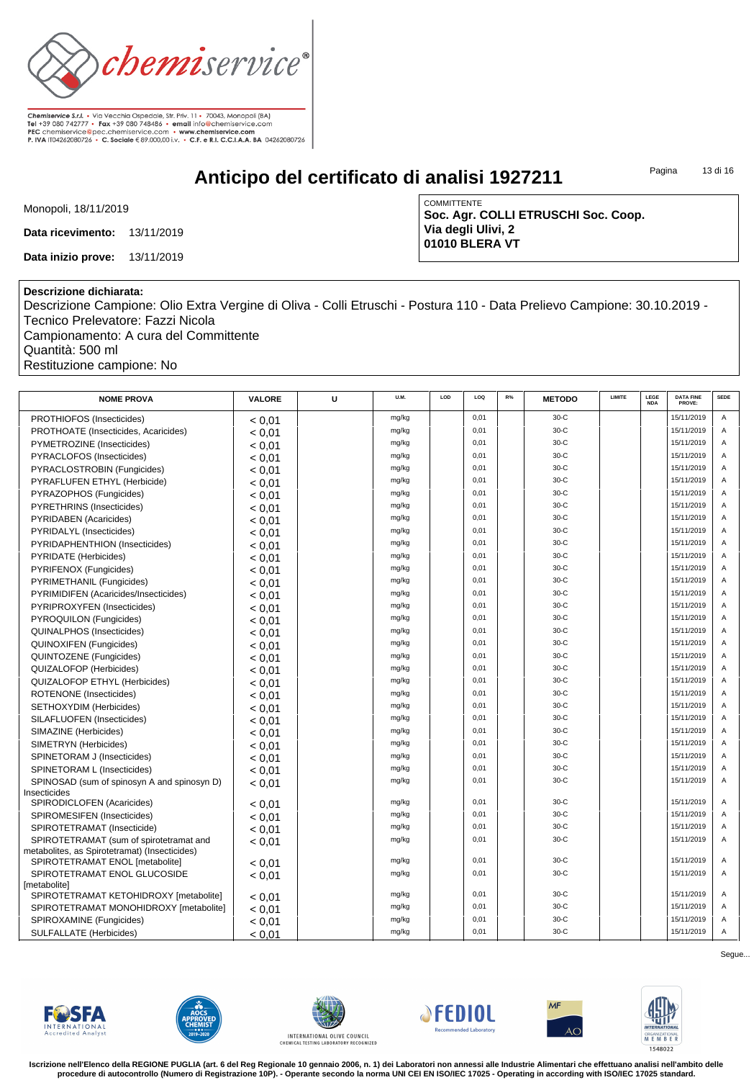

**Anticipo del certificato di analisi 1927211**

Pagina 13 di 16

Monopoli, 18/11/2019

**Data ricevimento:** 13/11/2019

**Data inizio prove:** 13/11/2019

COMMITTENTE **Soc. Agr. COLLI ETRUSCHI Soc. Coop. Via degli Ulivi, 2 01010 BLERA VT**

## **Descrizione dichiarata:**

Descrizione Campione: Olio Extra Vergine di Oliva - Colli Etruschi - Postura 110 - Data Prelievo Campione: 30.10.2019 - Tecnico Prelevatore: Fazzi Nicola Campionamento: A cura del Committente

Quantità: 500 ml

Restituzione campione: No

| <b>NOME PROVA</b>                                               | <b>VALORE</b> | U | U.M.  | LOD | LOQ  | R% | <b>METODO</b> | LIMITE | LEGE<br><b>NDA</b> | <b>DATA FINE</b><br>PROVE: | <b>SEDE</b> |
|-----------------------------------------------------------------|---------------|---|-------|-----|------|----|---------------|--------|--------------------|----------------------------|-------------|
| PROTHIOFOS (Insecticides)                                       | < 0.01        |   | mg/kg |     | 0,01 |    | $30-C$        |        |                    | 15/11/2019                 | Α           |
| PROTHOATE (Insecticides, Acaricides)                            | < 0.01        |   | mg/kg |     | 0,01 |    | $30-C$        |        |                    | 15/11/2019                 | A           |
| PYMETROZINE (Insecticides)                                      | < 0.01        |   | mg/kg |     | 0,01 |    | $30-C$        |        |                    | 15/11/2019                 | A           |
| PYRACLOFOS (Insecticides)                                       | < 0.01        |   | mg/kg |     | 0.01 |    | $30-C$        |        |                    | 15/11/2019                 | A           |
| PYRACLOSTROBIN (Fungicides)                                     | < 0.01        |   | mg/kg |     | 0,01 |    | $30-C$        |        |                    | 15/11/2019                 | A           |
| PYRAFLUFEN ETHYL (Herbicide)                                    | < 0.01        |   | mg/kg |     | 0,01 |    | $30-C$        |        |                    | 15/11/2019                 | A           |
| PYRAZOPHOS (Fungicides)                                         | < 0.01        |   | mg/kg |     | 0,01 |    | $30-C$        |        |                    | 15/11/2019                 | A           |
| PYRETHRINS (Insecticides)                                       | < 0.01        |   | mg/kg |     | 0.01 |    | $30-C$        |        |                    | 15/11/2019                 | A           |
| <b>PYRIDABEN (Acaricides)</b>                                   | < 0.01        |   | mg/kg |     | 0.01 |    | $30-C$        |        |                    | 15/11/2019                 | A           |
| PYRIDALYL (Insecticides)                                        | < 0.01        |   | mg/kg |     | 0,01 |    | $30-C$        |        |                    | 15/11/2019                 | A           |
| PYRIDAPHENTHION (Insecticides)                                  | < 0.01        |   | mg/kg |     | 0,01 |    | $30-C$        |        |                    | 15/11/2019                 | A           |
| PYRIDATE (Herbicides)                                           | < 0.01        |   | mg/kg |     | 0.01 |    | $30-C$        |        |                    | 15/11/2019                 | A           |
| PYRIFENOX (Fungicides)                                          | < 0.01        |   | mg/kg |     | 0.01 |    | $30-C$        |        |                    | 15/11/2019                 | A           |
| PYRIMETHANIL (Fungicides)                                       | < 0.01        |   | mg/kg |     | 0,01 |    | $30-C$        |        |                    | 15/11/2019                 | A           |
| PYRIMIDIFEN (Acaricides/Insecticides)                           | < 0.01        |   | mg/kg |     | 0,01 |    | $30-C$        |        |                    | 15/11/2019                 | A           |
| PYRIPROXYFEN (Insecticides)                                     | < 0.01        |   | mg/kg |     | 0.01 |    | $30-C$        |        |                    | 15/11/2019                 | A           |
| PYROQUILON (Fungicides)                                         | < 0.01        |   | mg/kg |     | 0,01 |    | $30-C$        |        |                    | 15/11/2019                 | A           |
| <b>QUINALPHOS (Insecticides)</b>                                | < 0.01        |   | mg/kg |     | 0.01 |    | $30-C$        |        |                    | 15/11/2019                 | A           |
| <b>QUINOXIFEN (Fungicides)</b>                                  | < 0.01        |   | mg/kg |     | 0,01 |    | $30-C$        |        |                    | 15/11/2019                 | A           |
| QUINTOZENE (Fungicides)                                         | < 0.01        |   | mg/kg |     | 0,01 |    | $30-C$        |        |                    | 15/11/2019                 | A           |
| QUIZALOFOP (Herbicides)                                         | < 0.01        |   | mg/kg |     | 0,01 |    | $30-C$        |        |                    | 15/11/2019                 | A           |
| QUIZALOFOP ETHYL (Herbicides)                                   | < 0.01        |   | mg/kg |     | 0.01 |    | $30-C$        |        |                    | 15/11/2019                 | A           |
| <b>ROTENONE</b> (Insecticides)                                  | < 0.01        |   | mg/kg |     | 0,01 |    | $30-C$        |        |                    | 15/11/2019                 | A           |
| SETHOXYDIM (Herbicides)                                         | < 0.01        |   | mg/kg |     | 0,01 |    | $30-C$        |        |                    | 15/11/2019                 | A           |
| SILAFLUOFEN (Insecticides)                                      | < 0.01        |   | mg/kg |     | 0,01 |    | $30-C$        |        |                    | 15/11/2019                 | A           |
| SIMAZINE (Herbicides)                                           | < 0.01        |   | mg/kg |     | 0,01 |    | $30-C$        |        |                    | 15/11/2019                 | A           |
| SIMETRYN (Herbicides)                                           | < 0.01        |   | mg/kg |     | 0.01 |    | $30-C$        |        |                    | 15/11/2019                 | A           |
| SPINETORAM J (Insecticides)                                     | < 0.01        |   | mg/kg |     | 0,01 |    | $30-C$        |        |                    | 15/11/2019                 | A           |
| SPINETORAM L (Insecticides)                                     | < 0.01        |   | mg/kg |     | 0,01 |    | $30-C$        |        |                    | 15/11/2019                 | A           |
| SPINOSAD (sum of spinosyn A and spinosyn D)                     | < 0.01        |   | mg/kg |     | 0,01 |    | $30-C$        |        |                    | 15/11/2019                 | A           |
| Insecticides                                                    |               |   |       |     |      |    |               |        |                    |                            |             |
| SPIRODICLOFEN (Acaricides)                                      | < 0.01        |   | mg/kg |     | 0.01 |    | $30-C$        |        |                    | 15/11/2019                 | A           |
| SPIROMESIFEN (Insecticides)                                     | < 0.01        |   | mg/kg |     | 0.01 |    | $30-C$        |        |                    | 15/11/2019                 | A           |
| SPIROTETRAMAT (Insecticide)                                     | < 0.01        |   | mg/kg |     | 0,01 |    | $30-C$        |        |                    | 15/11/2019                 | A           |
| SPIROTETRAMAT (sum of spirotetramat and                         | < 0.01        |   | mg/kg |     | 0,01 |    | $30-C$        |        |                    | 15/11/2019                 | A           |
| metabolites, as Spirotetramat) (Insecticides)                   |               |   | mg/kg |     | 0,01 |    | $30-C$        |        |                    | 15/11/2019                 | A           |
| SPIROTETRAMAT ENOL [metabolite]<br>SPIROTETRAMAT ENOL GLUCOSIDE | < 0.01        |   | mg/kg |     | 0,01 |    | $30-C$        |        |                    | 15/11/2019                 | A           |
| [metabolite]                                                    | < 0.01        |   |       |     |      |    |               |        |                    |                            |             |
| SPIROTETRAMAT KETOHIDROXY [metabolite]                          | < 0.01        |   | mg/kg |     | 0,01 |    | $30-C$        |        |                    | 15/11/2019                 | A           |
| SPIROTETRAMAT MONOHIDROXY [metabolite]                          | < 0.01        |   | mg/kg |     | 0,01 |    | $30-C$        |        |                    | 15/11/2019                 | A           |
| SPIROXAMINE (Fungicides)                                        | < 0.01        |   | mg/kg |     | 0.01 |    | $30-C$        |        |                    | 15/11/2019                 | A           |
| <b>SULFALLATE (Herbicides)</b>                                  | < 0.01        |   | mg/kg |     | 0,01 |    | $30-C$        |        |                    | 15/11/2019                 | A           |













**Iscrizione nell'Elenco della REGIONE PUGLIA (art. 6 del Reg Regionale 10 gennaio 2006, n. 1) dei Laboratori non annessi alle Industrie Alimentari che effettuano analisi nell'ambito delle procedure di autocontrollo (Numero di Registrazione 10P). - Operante secondo la norma UNI CEI EN ISO/IEC 17025 - Operating in according with ISO/IEC 17025 standard.**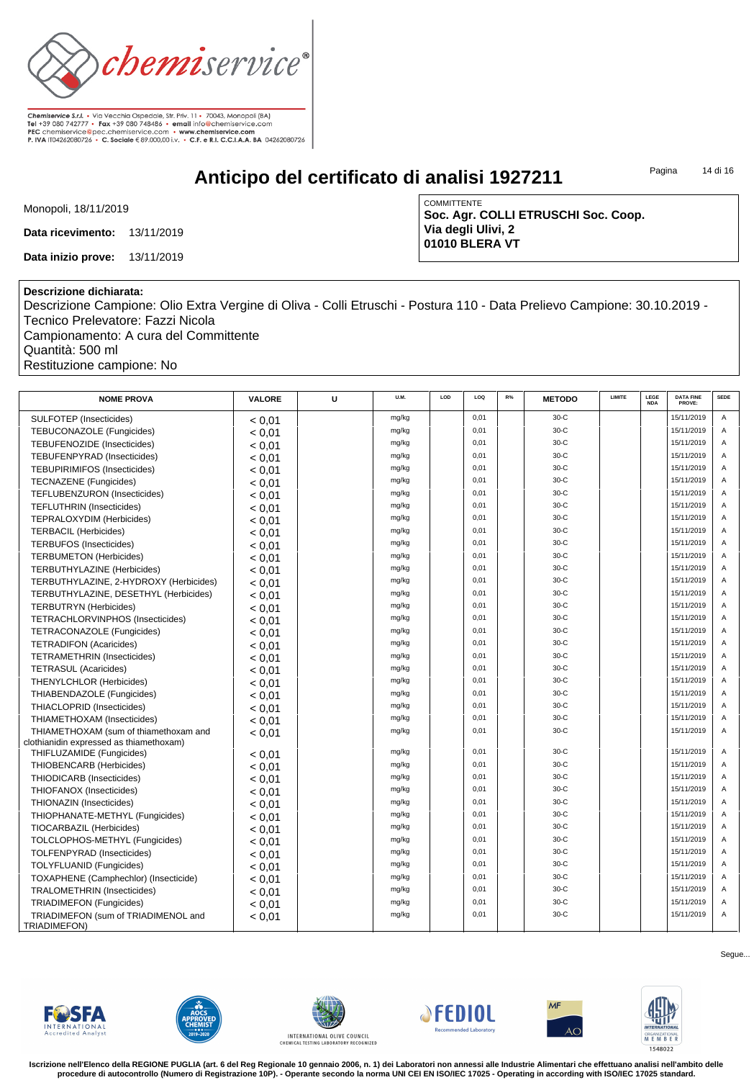

**Anticipo del certificato di analisi 1927211**

Pagina 14 di 16

Monopoli, 18/11/2019

**Data ricevimento:** 13/11/2019

**Data inizio prove:** 13/11/2019

COMMITTENTE **Soc. Agr. COLLI ETRUSCHI Soc. Coop. Via degli Ulivi, 2 01010 BLERA VT**

## **Descrizione dichiarata:**

Descrizione Campione: Olio Extra Vergine di Oliva - Colli Etruschi - Postura 110 - Data Prelievo Campione: 30.10.2019 - Tecnico Prelevatore: Fazzi Nicola Campionamento: A cura del Committente

Quantità: 500 ml Restituzione campione: No

| <b>NOME PROVA</b>                                   | VALORE | U | U.M.  | LOD | LOQ  | R% | <b>METODO</b> | LIMITE | LEGE<br><b>NDA</b> | <b>DATA FINE</b><br>PROVE: | <b>SEDE</b> |
|-----------------------------------------------------|--------|---|-------|-----|------|----|---------------|--------|--------------------|----------------------------|-------------|
| SULFOTEP (Insecticides)                             | < 0.01 |   | mg/kg |     | 0.01 |    | $30-C$        |        |                    | 15/11/2019                 | A           |
| TEBUCONAZOLE (Fungicides)                           | < 0.01 |   | mg/kg |     | 0,01 |    | $30-C$        |        |                    | 15/11/2019                 | A           |
| TEBUFENOZIDE (Insecticides)                         | < 0.01 |   | mg/kg |     | 0.01 |    | $30-C$        |        |                    | 15/11/2019                 | A           |
| <b>TEBUFENPYRAD (Insecticides)</b>                  | < 0.01 |   | mg/kg |     | 0.01 |    | $30-C$        |        |                    | 15/11/2019                 | A           |
| <b>TEBUPIRIMIFOS (Insecticides)</b>                 | < 0.01 |   | mg/kg |     | 0.01 |    | $30-C$        |        |                    | 15/11/2019                 | A           |
| <b>TECNAZENE</b> (Fungicides)                       | < 0.01 |   | mg/kg |     | 0.01 |    | $30-C$        |        |                    | 15/11/2019                 | A           |
| TEFLUBENZURON (Insecticides)                        | < 0.01 |   | mg/kg |     | 0,01 |    | $30-C$        |        |                    | 15/11/2019                 | A           |
| <b>TEFLUTHRIN (Insecticides)</b>                    | < 0.01 |   | mg/kg |     | 0,01 |    | $30-C$        |        |                    | 15/11/2019                 | A           |
| <b>TEPRALOXYDIM (Herbicides)</b>                    | < 0.01 |   | mg/kg |     | 0,01 |    | $30-C$        |        |                    | 15/11/2019                 | A           |
| <b>TERBACIL (Herbicides)</b>                        | < 0.01 |   | mg/kg |     | 0,01 |    | $30-C$        |        |                    | 15/11/2019                 | A           |
| <b>TERBUFOS (Insecticides)</b>                      | < 0.01 |   | mg/kg |     | 0,01 |    | $30-C$        |        |                    | 15/11/2019                 | A           |
| <b>TERBUMETON (Herbicides)</b>                      | < 0.01 |   | mg/kg |     | 0,01 |    | $30-C$        |        |                    | 15/11/2019                 | A           |
| TERBUTHYLAZINE (Herbicides)                         | < 0.01 |   | mg/kg |     | 0.01 |    | $30-C$        |        |                    | 15/11/2019                 | A           |
| TERBUTHYLAZINE, 2-HYDROXY (Herbicides)              | < 0.01 |   | mg/kg |     | 0.01 |    | $30-C$        |        |                    | 15/11/2019                 | A           |
| TERBUTHYLAZINE, DESETHYL (Herbicides)               | < 0.01 |   | mg/kg |     | 0,01 |    | $30-C$        |        |                    | 15/11/2019                 | A           |
| <b>TERBUTRYN</b> (Herbicides)                       | < 0.01 |   | mg/kg |     | 0.01 |    | $30-C$        |        |                    | 15/11/2019                 | A           |
| TETRACHLORVINPHOS (Insecticides)                    | < 0.01 |   | mg/kg |     | 0,01 |    | $30-C$        |        |                    | 15/11/2019                 | A           |
| TETRACONAZOLE (Fungicides)                          | < 0.01 |   | mg/kg |     | 0,01 |    | $30-C$        |        |                    | 15/11/2019                 | A           |
| <b>TETRADIFON (Acaricides)</b>                      | < 0.01 |   | mg/kg |     | 0.01 |    | $30-C$        |        |                    | 15/11/2019                 | A           |
| <b>TETRAMETHRIN (Insecticides)</b>                  | < 0.01 |   | mg/kg |     | 0,01 |    | $30-C$        |        |                    | 15/11/2019                 | A           |
| <b>TETRASUL (Acaricides)</b>                        | < 0.01 |   | mg/kg |     | 0,01 |    | $30-C$        |        |                    | 15/11/2019                 | A           |
| THENYLCHLOR (Herbicides)                            | < 0.01 |   | mg/kg |     | 0.01 |    | $30-C$        |        |                    | 15/11/2019                 | A           |
| THIABENDAZOLE (Fungicides)                          | < 0.01 |   | mg/kg |     | 0.01 |    | $30-C$        |        |                    | 15/11/2019                 | A           |
| THIACLOPRID (Insecticides)                          | < 0.01 |   | mg/kg |     | 0,01 |    | $30-C$        |        |                    | 15/11/2019                 | A           |
| THIAMETHOXAM (Insecticides)                         | < 0.01 |   | mg/kg |     | 0.01 |    | $30-C$        |        |                    | 15/11/2019                 | A           |
| THIAMETHOXAM (sum of thiamethoxam and               | < 0.01 |   | mg/kg |     | 0,01 |    | $30-C$        |        |                    | 15/11/2019                 | A           |
| clothianidin expressed as thiamethoxam)             |        |   |       |     |      |    |               |        |                    |                            |             |
| THIFLUZAMIDE (Fungicides)                           | < 0,01 |   | mg/kg |     | 0.01 |    | $30-C$        |        |                    | 15/11/2019                 | A           |
| THIOBENCARB (Herbicides)                            | < 0.01 |   | mg/kg |     | 0.01 |    | $30-C$        |        |                    | 15/11/2019                 | A           |
| THIODICARB (Insecticides)                           | < 0.01 |   | mg/kg |     | 0,01 |    | $30-C$        |        |                    | 15/11/2019                 | A           |
| THIOFANOX (Insecticides)                            | < 0.01 |   | mg/kg |     | 0.01 |    | $30-C$        |        |                    | 15/11/2019                 | A           |
| THIONAZIN (Insecticides)                            | < 0.01 |   | mg/kg |     | 0,01 |    | $30-C$        |        |                    | 15/11/2019                 | A           |
| THIOPHANATE-METHYL (Fungicides)                     | < 0.01 |   | mg/kg |     | 0,01 |    | $30-C$        |        |                    | 15/11/2019                 | Α           |
| TIOCARBAZIL (Herbicides)                            | < 0,01 |   | mg/kg |     | 0,01 |    | $30-C$        |        |                    | 15/11/2019                 | A           |
| TOLCLOPHOS-METHYL (Fungicides)                      | < 0.01 |   | mg/kg |     | 0.01 |    | $30-C$        |        |                    | 15/11/2019                 | A           |
| <b>TOLFENPYRAD (Insecticides)</b>                   | < 0.01 |   | mg/kg |     | 0,01 |    | $30-C$        |        |                    | 15/11/2019                 | A           |
| TOLYFLUANID (Fungicides)                            | < 0.01 |   | mg/kg |     | 0.01 |    | $30-C$        |        |                    | 15/11/2019                 | A           |
| TOXAPHENE (Camphechlor) (Insecticide)               | < 0.01 |   | mg/kg |     | 0.01 |    | $30-C$        |        |                    | 15/11/2019                 | A           |
| <b>TRALOMETHRIN (Insecticides)</b>                  | < 0.01 |   | mg/kg |     | 0,01 |    | $30-C$        |        |                    | 15/11/2019                 | A           |
| <b>TRIADIMEFON (Fungicides)</b>                     | < 0.01 |   | mg/kg |     | 0,01 |    | $30-C$        |        |                    | 15/11/2019                 | A           |
| TRIADIMEFON (sum of TRIADIMENOL and<br>TRIADIMEFON) | < 0.01 |   | mg/kg |     | 0,01 |    | $30-C$        |        |                    | 15/11/2019                 | A           |













**Iscrizione nell'Elenco della REGIONE PUGLIA (art. 6 del Reg Regionale 10 gennaio 2006, n. 1) dei Laboratori non annessi alle Industrie Alimentari che effettuano analisi nell'ambito delle procedure di autocontrollo (Numero di Registrazione 10P). - Operante secondo la norma UNI CEI EN ISO/IEC 17025 - Operating in according with ISO/IEC 17025 standard.**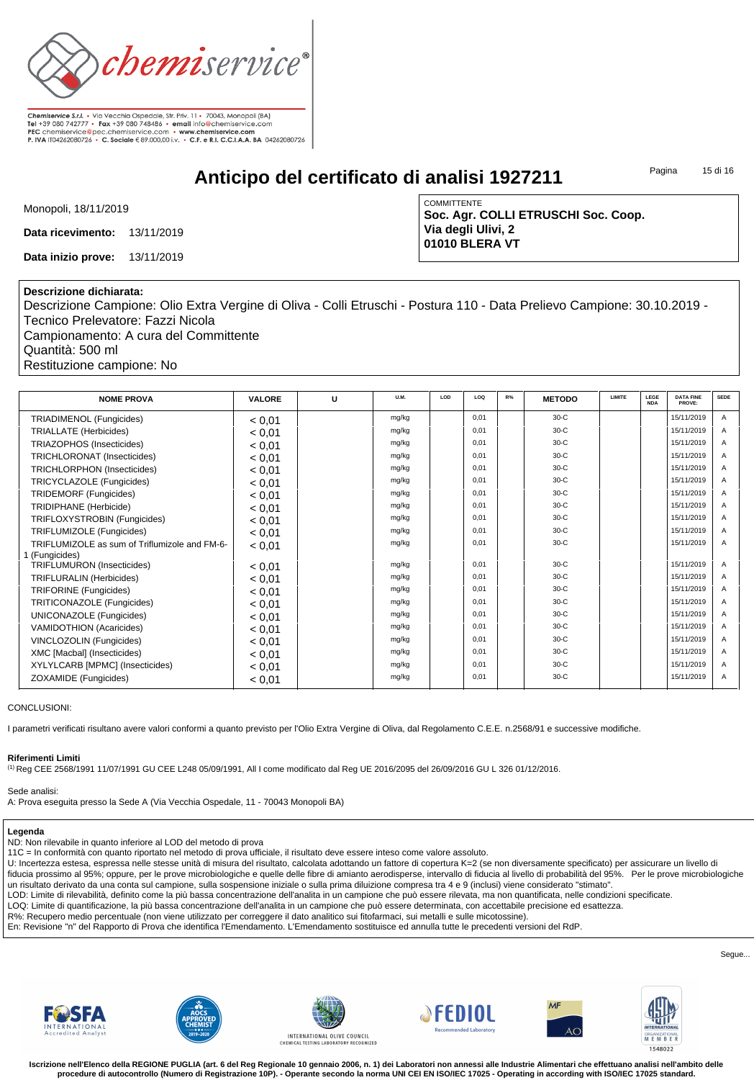

**Anticipo del certificato di analisi 1927211**

Pagina 15 di 16

Monopoli, 18/11/2019

**Data ricevimento:** 13/11/2019

**Data inizio prove:** 13/11/2019

**COMMITTENTE Soc. Agr. COLLI ETRUSCHI Soc. Coop. Via degli Ulivi, 2 01010 BLERA VT**

#### **Descrizione dichiarata:**

Descrizione Campione: Olio Extra Vergine di Oliva - Colli Etruschi - Postura 110 - Data Prelievo Campione: 30.10.2019 - Tecnico Prelevatore: Fazzi Nicola

Campionamento: A cura del Committente Quantità: 500 ml Restituzione campione: No

| <b>NOME PROVA</b>                             | <b>VALORE</b> | U | U.M.  | LOD | LOQ  | $R\%$ | <b>METODO</b> | <b>LIMITE</b> | LEGE<br><b>NDA</b> | <b>DATA FINE</b><br>PROVE: | <b>SEDE</b> |
|-----------------------------------------------|---------------|---|-------|-----|------|-------|---------------|---------------|--------------------|----------------------------|-------------|
| TRIADIMENOL (Fungicides)                      | < 0.01        |   | mg/kg |     | 0.01 |       | $30-C$        |               |                    | 15/11/2019                 | A           |
| <b>TRIALLATE</b> (Herbicides)                 | < 0.01        |   | mg/kg |     | 0.01 |       | $30-C$        |               |                    | 15/11/2019                 | A           |
| TRIAZOPHOS (Insecticides)                     | < 0.01        |   | mg/kg |     | 0.01 |       | $30-C$        |               |                    | 15/11/2019                 | A           |
| TRICHLORONAT (Insecticides)                   | < 0.01        |   | mg/kg |     | 0.01 |       | $30-C$        |               |                    | 15/11/2019                 | A           |
| <b>TRICHLORPHON (Insecticides)</b>            | < 0.01        |   | mg/kg |     | 0.01 |       | $30-C$        |               |                    | 15/11/2019                 | A           |
| TRICYCLAZOLE (Fungicides)                     | < 0.01        |   | mg/kg |     | 0.01 |       | $30-C$        |               |                    | 15/11/2019                 | Α           |
| TRIDEMORF (Fungicides)                        | < 0.01        |   | mg/kg |     | 0.01 |       | $30-C$        |               |                    | 15/11/2019                 | A           |
| <b>TRIDIPHANE</b> (Herbicide)                 | < 0.01        |   | mg/kg |     | 0.01 |       | $30-C$        |               |                    | 15/11/2019                 | A           |
| TRIFLOXYSTROBIN (Fungicides)                  | < 0.01        |   | mg/kg |     | 0.01 |       | $30-C$        |               |                    | 15/11/2019                 | A           |
| TRIFLUMIZOLE (Fungicides)                     | < 0.01        |   | mg/kg |     | 0.01 |       | $30-C$        |               |                    | 15/11/2019                 | A           |
| TRIFLUMIZOLE as sum of Triflumizole and FM-6- | < 0.01        |   | mg/kg |     | 0.01 |       | $30-C$        |               |                    | 15/11/2019                 | A           |
| 1 (Fungicides)                                |               |   |       |     |      |       |               |               |                    |                            |             |
| <b>TRIFLUMURON</b> (Insecticides)             | < 0.01        |   | mg/kg |     | 0.01 |       | $30-C$        |               |                    | 15/11/2019                 | A           |
| <b>TRIFLURALIN (Herbicides)</b>               | < 0.01        |   | mg/kg |     | 0.01 |       | $30-C$        |               |                    | 15/11/2019                 | A           |
| TRIFORINE (Fungicides)                        | < 0.01        |   | mg/kg |     | 0.01 |       | $30-C$        |               |                    | 15/11/2019                 |             |
| TRITICONAZOLE (Fungicides)                    | < 0.01        |   | mg/kg |     | 0.01 |       | $30-C$        |               |                    | 15/11/2019                 | Α           |
| UNICONAZOLE (Fungicides)                      | < 0.01        |   | mg/kg |     | 0.01 |       | $30-C$        |               |                    | 15/11/2019                 | A           |
| <b>VAMIDOTHION (Acaricides)</b>               | < 0.01        |   | mg/kg |     | 0.01 |       | $30-C$        |               |                    | 15/11/2019                 | Α           |
| VINCLOZOLIN (Fungicides)                      | < 0.01        |   | mg/kg |     | 0.01 |       | $30-C$        |               |                    | 15/11/2019                 | A           |
| XMC [Macbal] (Insecticides)                   | < 0.01        |   | mg/kg |     | 0.01 |       | $30-C$        |               |                    | 15/11/2019                 | A           |
| XYLYLCARB [MPMC] (Insecticides)               | < 0.01        |   | mg/kg |     | 0.01 |       | $30-C$        |               |                    | 15/11/2019                 | A           |
| ZOXAMIDE (Fungicides)                         | < 0.01        |   | mg/kg |     | 0,01 |       | $30-C$        |               |                    | 15/11/2019                 | A           |

CONCLUSIONI:

I parametri verificati risultano avere valori conformi a quanto previsto per l'Olio Extra Vergine di Oliva, dal Regolamento C.E.E. n.2568/91 e successive modifiche.

#### **Riferimenti Limiti**

(1) Reg CEE 2568/1991 11/07/1991 GU CEE L248 05/09/1991, All I come modificato dal Reg UE 2016/2095 del 26/09/2016 GU L 326 01/12/2016.

#### Sede analisi:

A: Prova eseguita presso la Sede A (Via Vecchia Ospedale, 11 - 70043 Monopoli BA)

#### **Legenda**

ND: Non rilevabile in quanto inferiore al LOD del metodo di prova

11C = In conformità con quanto riportato nel metodo di prova ufficiale, il risultato deve essere inteso come valore assoluto.

U: Incertezza estesa, espressa nelle stesse unità di misura del risultato, calcolata adottando un fattore di copertura K=2 (se non diversamente specificato) per assicurare un livello di fiducia prossimo al 95%; oppure, per le prove microbiologiche e quelle delle fibre di amianto aerodisperse, intervallo di fiducia al livello di probabilità del 95%. Per le prove microbiologiche un risultato derivato da una conta sul campione, sulla sospensione iniziale o sulla prima diluizione compresa tra 4 e 9 (inclusi) viene considerato "stimato".

LOD: Limite di rilevabilità, definito come la più bassa concentrazione dell'analita in un campione che può essere rilevata, ma non quantificata, nelle condizioni specificate.

LOQ: Limite di quantificazione, la più bassa concentrazione dell'analita in un campione che può essere determinata, con accettabile precisione ed esattezza.

R%: Recupero medio percentuale (non viene utilizzato per correggere il dato analitico sui fitofarmaci, sui metalli e sulle micotossine).

En: Revisione "n" del Rapporto di Prova che identifica l'Emendamento. L'Emendamento sostituisce ed annulla tutte le precedenti versioni del RdP.

Segue...













**Iscrizione nell'Elenco della REGIONE PUGLIA (art. 6 del Reg Regionale 10 gennaio 2006, n. 1) dei Laboratori non annessi alle Industrie Alimentari che effettuano analisi nell'ambito delle procedure di autocontrollo (Numero di Registrazione 10P). - Operante secondo la norma UNI CEI EN ISO/IEC 17025 - Operating in according with ISO/IEC 17025 standard.**

uizen